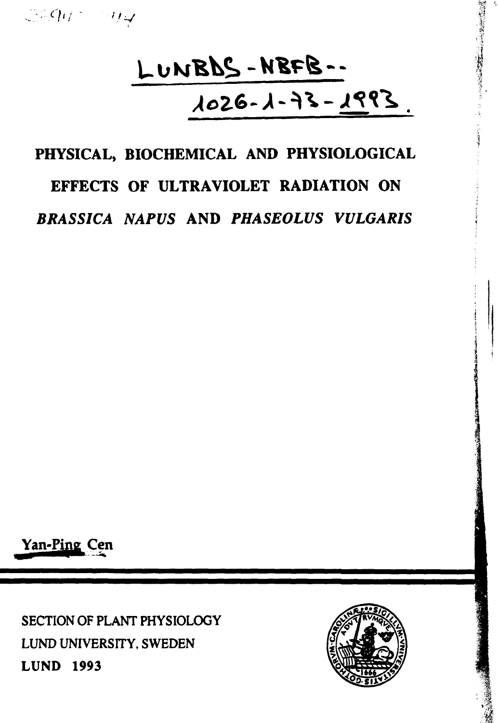# LUNBDS-NBFB-- $2991 - 26 - 1 - 350$

**現代の場所には、「またので、「またので、」** 

# **PHYSICAL, BIOCHEMICAL AND PHYSIOLOGICAL EFFECTS OF ULTRAVIOLET RADIATION ON** *BRASSICA NAPUS* **AND** *PHASEOLUS VULGARIS*

**Yan-Pine Cen**

SECTION OF PLANT PHYSIOLOGY LUND UNIVERSITY, SWEDEN **LUND 1993**

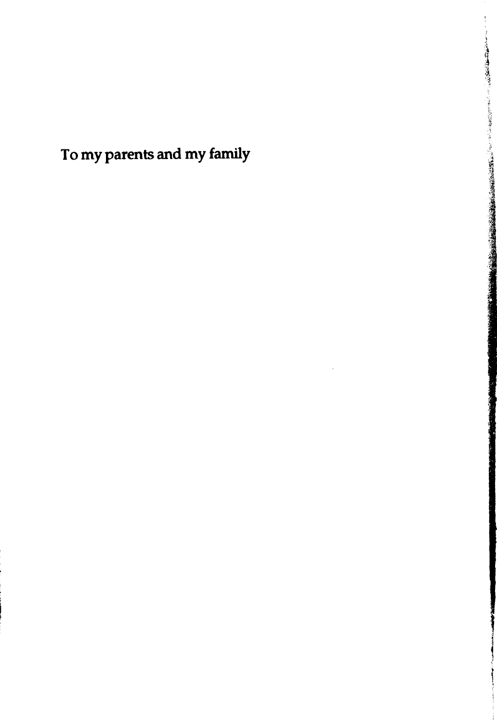**To my parents and my family**

これは、この「このことを、このことを、このことを、このことには、このことには、このことには、このことを、このことを、このことを、このことを、このことを、このことを、このことを、このことを、このことを、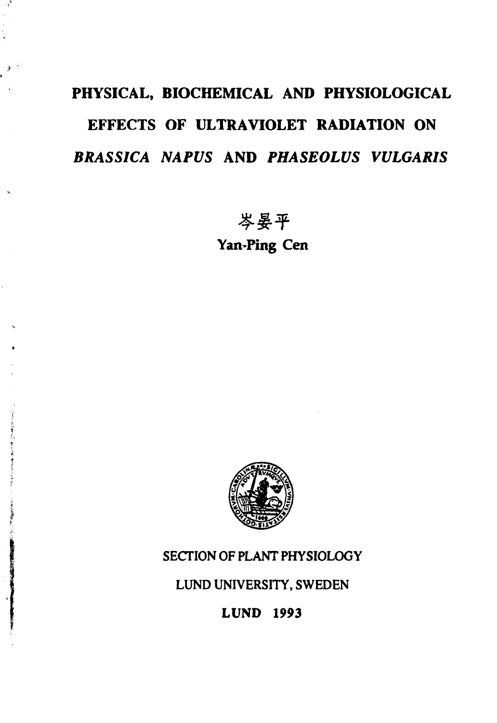# **PHYSICAL, BIOCHEMICAL AND PHYSIOLOGICAL EFFECTS OF ULTRAVIOLET RADIATION ON** *BRASSICA NAPUS* **AND** *PHASEOLUS VULGARIS*

岑晏平

**Yan-Ping Cen**



## SECTION OF PLANT PHYSIOLOGY

LUND UNIVERSITY, SWEDEN

**LUND 1993**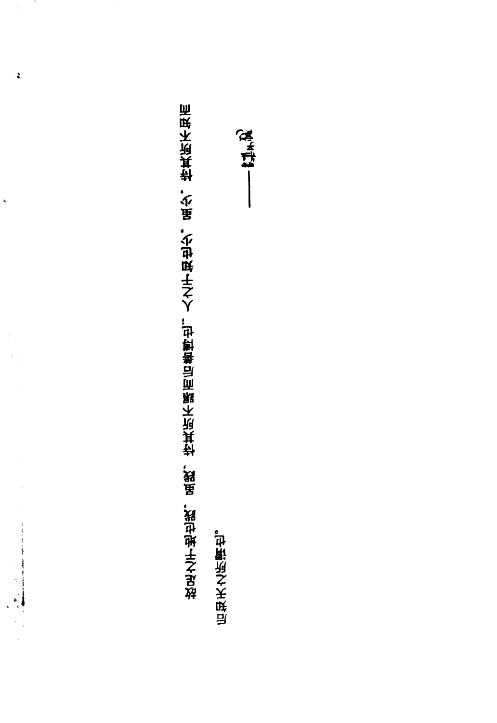**4? Y**

 $\frac{1}{2}$ 

 $\mathbf{a}$ 

 $\label{eq:2.1} \frac{1}{2} \sum_{\substack{m=1\\ m \text{ prime, } m \text{ prime, } m \text{ prime, } m \text{ prime, } m \text{ prime, } m \text{ prime, } m \text{ odd, } m \text{ odd, } m \text{ odd, } m \text{ odd, } m \text{ odd, } m \text{ odd, } m \text{ odd, } m \text{ odd, } m \text{ odd, } m \text{ odd, } m \text{ odd, } m \text{ odd, } m \text{ odd, } m \text{ odd, } m \text{ odd, } m \text{ odd, } m \text{ odd, } m \text{ odd, } m \text{ odd, } m \text{ odd, } m \text{ odd, } m \text{$ 

**后味天之闲厮也。** 

 $-114.7$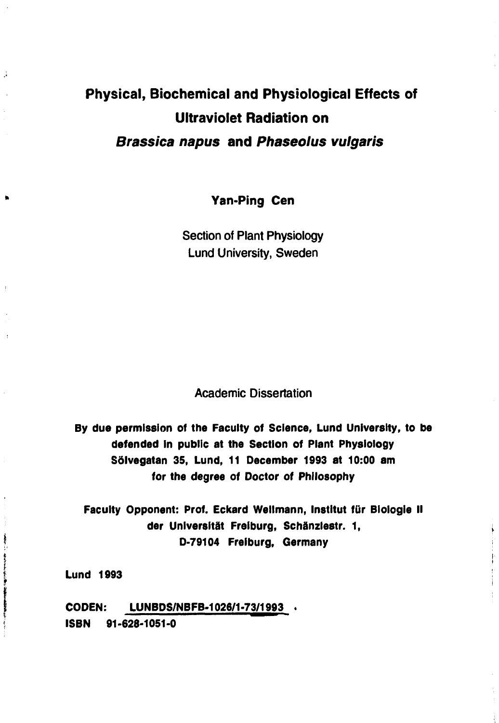## **Physical, Biochemical and Physiological Effects of Ultraviolet Radiation on Brassica napus and Phaseolus vulgaris**

**Yan-Ping Cen**

Section of Plant Physiology Lund University, Sweden

Academic Dissertation

**By due permission of the Faculty of Science, Lund University, to be defended in public at the Section of Plant Physiology Sölvegatan 35, Lund, 11 December 1993 at 10:00 am for the degree of Doctor of Philosophy**

**Faculty Opponent: Prof. Eckard Wellmann, Institut fur Biologie II der Univer8ltät Freiburg, Schänzlestr. 1, D-79104 Freiburg, Germany**

**Lund 1993**

J.

**CODEN: LUNBDS/NBFB-1026/1-73/1993 . ISBN 91-628-1051-0**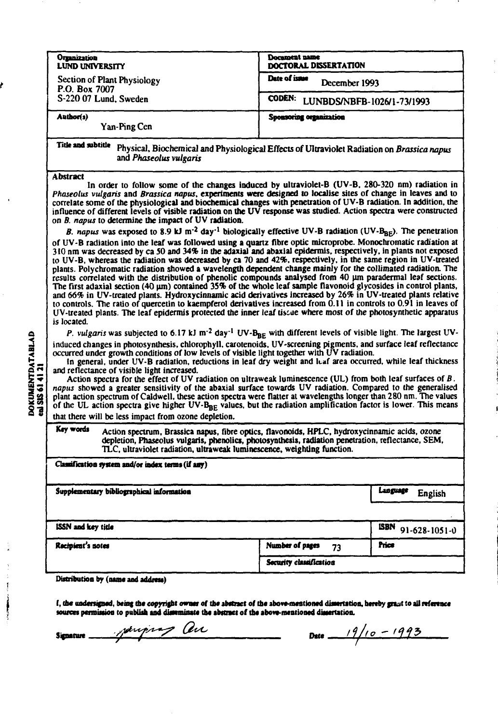|                                                                                                                                                                                                                                                                                                                                                                                                                                                                                                                                                                                                                                                                                                                                                                                                                                                                                                                                                                                                                                                                                                                                                                                                                                                                                                                                                                                                                                                                                                                                                                                                                                                                                                                                                                                                                                                                                                                                                                                                                                                                                                                                                                                                                                                                                                                                                                                                                                                                                                                                                                                                                                                                                                                                                                                                                                                               | <b>Docament name</b>                        |                               |
|---------------------------------------------------------------------------------------------------------------------------------------------------------------------------------------------------------------------------------------------------------------------------------------------------------------------------------------------------------------------------------------------------------------------------------------------------------------------------------------------------------------------------------------------------------------------------------------------------------------------------------------------------------------------------------------------------------------------------------------------------------------------------------------------------------------------------------------------------------------------------------------------------------------------------------------------------------------------------------------------------------------------------------------------------------------------------------------------------------------------------------------------------------------------------------------------------------------------------------------------------------------------------------------------------------------------------------------------------------------------------------------------------------------------------------------------------------------------------------------------------------------------------------------------------------------------------------------------------------------------------------------------------------------------------------------------------------------------------------------------------------------------------------------------------------------------------------------------------------------------------------------------------------------------------------------------------------------------------------------------------------------------------------------------------------------------------------------------------------------------------------------------------------------------------------------------------------------------------------------------------------------------------------------------------------------------------------------------------------------------------------------------------------------------------------------------------------------------------------------------------------------------------------------------------------------------------------------------------------------------------------------------------------------------------------------------------------------------------------------------------------------------------------------------------------------------------------------------------------------|---------------------------------------------|-------------------------------|
| Organization<br><b>LUND UNIVERSITY</b>                                                                                                                                                                                                                                                                                                                                                                                                                                                                                                                                                                                                                                                                                                                                                                                                                                                                                                                                                                                                                                                                                                                                                                                                                                                                                                                                                                                                                                                                                                                                                                                                                                                                                                                                                                                                                                                                                                                                                                                                                                                                                                                                                                                                                                                                                                                                                                                                                                                                                                                                                                                                                                                                                                                                                                                                                        | DOCTORAL DISSERTATION                       |                               |
| Section of Plant Physiology<br>P.O. Box 7007                                                                                                                                                                                                                                                                                                                                                                                                                                                                                                                                                                                                                                                                                                                                                                                                                                                                                                                                                                                                                                                                                                                                                                                                                                                                                                                                                                                                                                                                                                                                                                                                                                                                                                                                                                                                                                                                                                                                                                                                                                                                                                                                                                                                                                                                                                                                                                                                                                                                                                                                                                                                                                                                                                                                                                                                                  | Date of issue<br>December 1993              |                               |
| S-220 07 Lund, Sweden                                                                                                                                                                                                                                                                                                                                                                                                                                                                                                                                                                                                                                                                                                                                                                                                                                                                                                                                                                                                                                                                                                                                                                                                                                                                                                                                                                                                                                                                                                                                                                                                                                                                                                                                                                                                                                                                                                                                                                                                                                                                                                                                                                                                                                                                                                                                                                                                                                                                                                                                                                                                                                                                                                                                                                                                                                         | <b>CODEN:</b><br>LUNBDS/NBFB-1026/1-73/1993 |                               |
| Author(s)<br>Yan-Ping Cen                                                                                                                                                                                                                                                                                                                                                                                                                                                                                                                                                                                                                                                                                                                                                                                                                                                                                                                                                                                                                                                                                                                                                                                                                                                                                                                                                                                                                                                                                                                                                                                                                                                                                                                                                                                                                                                                                                                                                                                                                                                                                                                                                                                                                                                                                                                                                                                                                                                                                                                                                                                                                                                                                                                                                                                                                                     | Sponsoring organization                     |                               |
| Title and subtitle<br>Physical, Biochemical and Physiological Effects of Ultraviolet Radiation on Brassica napus<br>and Phaseolus vulgaris                                                                                                                                                                                                                                                                                                                                                                                                                                                                                                                                                                                                                                                                                                                                                                                                                                                                                                                                                                                                                                                                                                                                                                                                                                                                                                                                                                                                                                                                                                                                                                                                                                                                                                                                                                                                                                                                                                                                                                                                                                                                                                                                                                                                                                                                                                                                                                                                                                                                                                                                                                                                                                                                                                                    |                                             |                               |
| <b>Abstract</b><br>In order to follow some of the changes induced by ultraviolet-B (UV-B, 280-320 nm) radiation in<br>Phaseolus vulgaris and Brassica napus, experiments were designed to localise sites of change in leaves and to<br>correlate some of the physiological and biochemical changes with penetration of UV-B radiation. In addition, the<br>influence of different levels of visible radiation on the UV response was studied. Action spectra were constructed<br>on B. napus to determine the impact of UV radiation.<br>B. napus was exposed to 8.9 kJ m <sup>-2</sup> day <sup>-1</sup> biologically effective UV-B radiation (UV-B <sub>RF</sub> ). The penetration<br>of UV-B radiation into the leaf was followed using a quartz fibre optic microprobe. Monochromatic radiation at<br>310 nm was decreased by ca 50 and 34% in the adaxial and abaxial epidermis, respectively, in plants not exposed<br>to UV-B, whereas the radiation was decreased by ca 70 and 42%, respectively, in the same region in UV-treated<br>plants. Polychromatic radiation showed a wavelength dependent change mainly for the collimated radiation. The<br>results correlated with the distribution of phenolic compounds analysed from 40 µm paradermal leaf sections.<br>The first adaxial section $(40 \mu m)$ contained 35% of the whole leaf sample flavonoid glycosides in control plants,<br>and 66% in UV-treated plants. Hydroxycinnamic acid derivatives increased by 26% in UV-treated plants relative<br>to controls. The ratio of quercetin to kaempferol derivatives increased from 0.11 in controls to 0.91 in leaves of<br>UV-treated plants. The leaf epidermis protected the inner leaf tissue where most of the photosynthetic apparatus<br>is located.<br>P. vulgaris was subjected to 6.17 kJ m <sup>-2</sup> day <sup>-1</sup> UV-B <sub>BE</sub> with different levels of visible light. The largest UV-<br>induced changes in photosynthesis, chlorophyll, carotenoids, UV-screening pigments, and surface leaf reflectance<br>occurred under growth conditions of low levels of visible light together with UV radiation.<br>In general, under UV-B radiation, reductions in leaf dry weight and leaf area occurred, while leaf thickness<br>and reflectance of visible light increased.<br>Action spectra for the effect of UV radiation on ultraweak luminescence (UL) from both leaf surfaces of $B$ .<br>napus showed a greater sensitivity of the abaxial surface towards UV radiation. Compared to the generalised<br>plant action spectrum of Caldwell, these action spectra were flatter at wavelengths longer than 280 nm. The values<br>of the UL action spectra give higher $UV-B_{BE}$ values, but the radiation amplification factor is lower. This means<br>that there will be less impact from ozone depletion. |                                             |                               |
| Key words<br>Action spectrum, Brassica napus, fibre optics, flavonoids, HPLC, hydroxycinnamic acids, ozone<br>depletion, Phaseolus vulgaris, phenolics, photosynthesis, radiation penetration, reflectance, SEM,<br>TLC, ultraviolet radiation, ultraweak luminescence, weighting function.                                                                                                                                                                                                                                                                                                                                                                                                                                                                                                                                                                                                                                                                                                                                                                                                                                                                                                                                                                                                                                                                                                                                                                                                                                                                                                                                                                                                                                                                                                                                                                                                                                                                                                                                                                                                                                                                                                                                                                                                                                                                                                                                                                                                                                                                                                                                                                                                                                                                                                                                                                   |                                             |                               |
| Classification system and/or index terms (if any)                                                                                                                                                                                                                                                                                                                                                                                                                                                                                                                                                                                                                                                                                                                                                                                                                                                                                                                                                                                                                                                                                                                                                                                                                                                                                                                                                                                                                                                                                                                                                                                                                                                                                                                                                                                                                                                                                                                                                                                                                                                                                                                                                                                                                                                                                                                                                                                                                                                                                                                                                                                                                                                                                                                                                                                                             |                                             |                               |
| Supplementary bibliographical information                                                                                                                                                                                                                                                                                                                                                                                                                                                                                                                                                                                                                                                                                                                                                                                                                                                                                                                                                                                                                                                                                                                                                                                                                                                                                                                                                                                                                                                                                                                                                                                                                                                                                                                                                                                                                                                                                                                                                                                                                                                                                                                                                                                                                                                                                                                                                                                                                                                                                                                                                                                                                                                                                                                                                                                                                     |                                             | Language<br>English           |
|                                                                                                                                                                                                                                                                                                                                                                                                                                                                                                                                                                                                                                                                                                                                                                                                                                                                                                                                                                                                                                                                                                                                                                                                                                                                                                                                                                                                                                                                                                                                                                                                                                                                                                                                                                                                                                                                                                                                                                                                                                                                                                                                                                                                                                                                                                                                                                                                                                                                                                                                                                                                                                                                                                                                                                                                                                                               |                                             |                               |
| <b>ISSN and key title</b>                                                                                                                                                                                                                                                                                                                                                                                                                                                                                                                                                                                                                                                                                                                                                                                                                                                                                                                                                                                                                                                                                                                                                                                                                                                                                                                                                                                                                                                                                                                                                                                                                                                                                                                                                                                                                                                                                                                                                                                                                                                                                                                                                                                                                                                                                                                                                                                                                                                                                                                                                                                                                                                                                                                                                                                                                                     |                                             | <b>ISBN</b><br>91-628-1051-0  |
| Recipient's notes                                                                                                                                                                                                                                                                                                                                                                                                                                                                                                                                                                                                                                                                                                                                                                                                                                                                                                                                                                                                                                                                                                                                                                                                                                                                                                                                                                                                                                                                                                                                                                                                                                                                                                                                                                                                                                                                                                                                                                                                                                                                                                                                                                                                                                                                                                                                                                                                                                                                                                                                                                                                                                                                                                                                                                                                                                             | Number of pages<br>73                       | Price                         |
|                                                                                                                                                                                                                                                                                                                                                                                                                                                                                                                                                                                                                                                                                                                                                                                                                                                                                                                                                                                                                                                                                                                                                                                                                                                                                                                                                                                                                                                                                                                                                                                                                                                                                                                                                                                                                                                                                                                                                                                                                                                                                                                                                                                                                                                                                                                                                                                                                                                                                                                                                                                                                                                                                                                                                                                                                                                               | Security classification                     |                               |
| Distribution by (name and address)                                                                                                                                                                                                                                                                                                                                                                                                                                                                                                                                                                                                                                                                                                                                                                                                                                                                                                                                                                                                                                                                                                                                                                                                                                                                                                                                                                                                                                                                                                                                                                                                                                                                                                                                                                                                                                                                                                                                                                                                                                                                                                                                                                                                                                                                                                                                                                                                                                                                                                                                                                                                                                                                                                                                                                                                                            |                                             |                               |
| I, the undersigned, being the copyright owner of the abstract of the above-mentioned dimertation, hereby grant to all reference<br>sources permission to publish and disseminate the abstract of the above-mentioned dissertation.                                                                                                                                                                                                                                                                                                                                                                                                                                                                                                                                                                                                                                                                                                                                                                                                                                                                                                                                                                                                                                                                                                                                                                                                                                                                                                                                                                                                                                                                                                                                                                                                                                                                                                                                                                                                                                                                                                                                                                                                                                                                                                                                                                                                                                                                                                                                                                                                                                                                                                                                                                                                                            |                                             |                               |
| janjury an<br>Signature _                                                                                                                                                                                                                                                                                                                                                                                                                                                                                                                                                                                                                                                                                                                                                                                                                                                                                                                                                                                                                                                                                                                                                                                                                                                                                                                                                                                                                                                                                                                                                                                                                                                                                                                                                                                                                                                                                                                                                                                                                                                                                                                                                                                                                                                                                                                                                                                                                                                                                                                                                                                                                                                                                                                                                                                                                                     |                                             | Date $\frac{19/10 - 1993}{1}$ |

DOKUMENTDATABLAD<br>en SIS 61 41 21

ł

 $\ddot{\phantom{0}}$ 

 $\frac{1}{2}$ 

**Selection of the Second Second Second Second Second Second**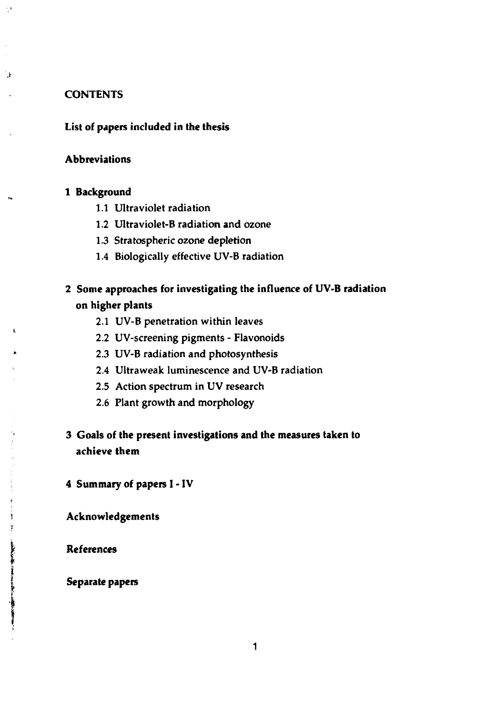#### **CONTENTS**

à,

٦ŀ.

#### **List of papers included in the thesis**

#### **Abbreviations**

#### **1 Background**

- 1.1 Ultraviolet radiation
- 1.2 Ultraviolet-B radiation **and** ozone
- 1.3 Stratospheric ozone depletion
- 1.4 Biologically effective UV-B radiation

### **2 Some approaches for investigating the influence of UV-B radiation on higher plants**

- 2.1 UV-B penetration within leaves
- 2.2 UV-screening pigments Flavonoids
- 2.3 UV-B radiation and photosynthesis
- 2.4 Ultraweak luminescence and UV-B radiation
- 2.5 Action spectrum in UV research
- 2.6 Plant growth and morphology

### 3 **Goals of the present investigations and the measures taken to achieve them**

**4 Summary of papers I - IV**

**Acknowledgements**

**References**

Ţ

**CONTRACTORS AND RESIDENCES** 

**Separate papers**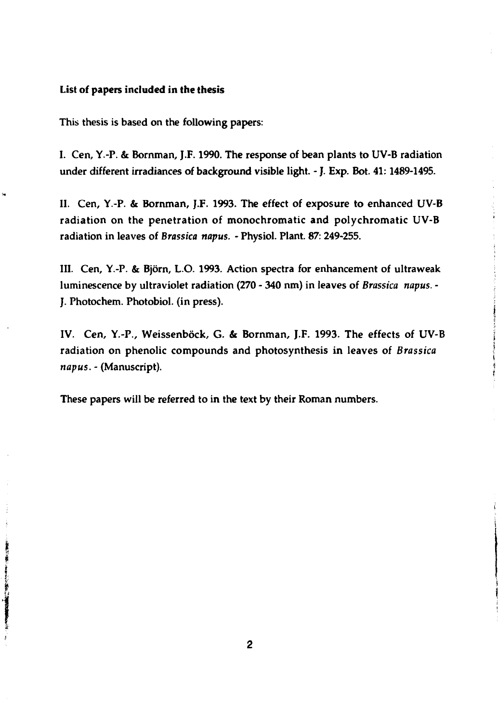#### **List of papers included in the thesis**

**This thesis is based on the following papers:**

**I. Cen, Y.-P. & Bornman, J.F. 1990. The response of bean plants to UV-B radiation under different irradiances of background visible light. - J. Exp. Bot. 41:1489-1495.**

**II. Cen, Y.-P. & Bornman, J.F. 1993. The effect of exposure to enhanced UV-B radiation on the penetration of monochromatic and polychromatic UV-B radiation in leaves of** *Brassica napus.* **- Physiol. Plant. 87: 249-255.**

**III. Cen, Y.-P. & Björn, L.O. 1993. Action spectra for enhancement of ultraweak luminescence by ultraviolet radiation (270 - 340 nm) in leaves of** *Brassica napus. -* **J. Photochem. Photobiol. (in press).**

**IV. Cen, Y.-P., Weissenböck, G. & Bornman, J.F. 1993. The effects of UV-B radiation on phenolic compounds and photosynthesis in leaves of** *Brassica napus.-* **(Manuscript).**

**These papers will be referred to in the text by their Roman numbers.**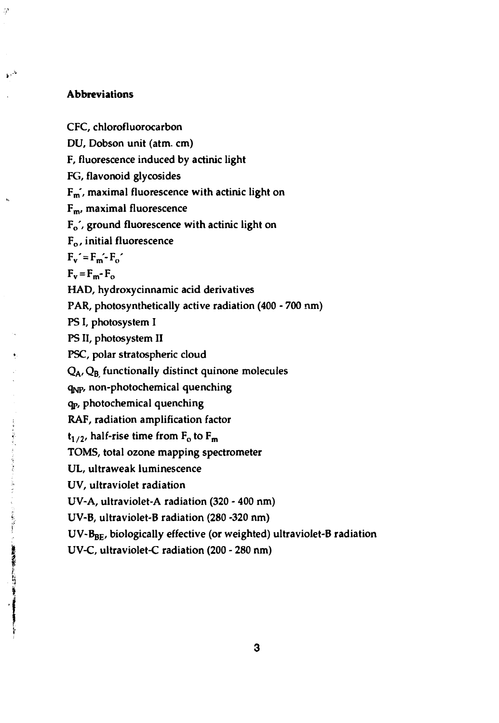#### **Abbreviations**

ु

 $\mathbf{h}^{1/2}$ 

○ 「大使用の活動することにおけば、「ものことの事件をする」

CFC, chlorofluorocarbon DU, Dobson unit (atm. cm) F, fluorescence induced by actinic light FG, flavonoid glycosides Fm', maximal fluorescence **with actinic light on**  $F<sub>m</sub>$ , maximal fluorescence Fo', ground fluorescence **with** actinic **light** on Fo, initial fluorescence  $F_v = F_m - F_o$  $F_v = F_m - F_o$ HAD, hydroxycinnamic acid derivatives PAR, photosynthetically active radiation (400 - 700 nm) PS I, photosystem I PS II, photosystem II PSC, polar stratospheric cloud  $Q_A$ ,  $Q_B$  functionally distinct quinone molecules qNP, non-photochemical quenching qp, photochemical quenching RAF, radiation amplification factor  $t_{1/2}$ , half-rise time from  $F_0$  to  $F_m$ TOMS, total ozone mapping spectrometer UL, ultraweak luminescence UV, ultraviolet radiation UV-A, ultraviolet-A radiation (320 - 400 nm) UV-B, ultraviolet-B radiation (280 -320 nm)

UV-Bgg, biologically effective (or weighted) ultraviolet-B radiation

UV-C, ultraviolet-C radiation (200 - 280 nm)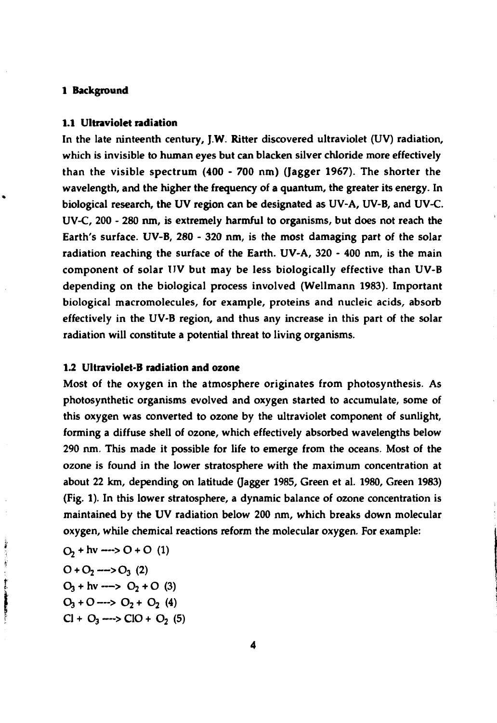#### **1 Background**

#### **1.1 Ultraviolet radiation**

In the late ninteenth century, J.W. Ritter discovered ultraviolet (UV) radiation, which is invisible to human eyes but can blacken silver chloride more effectively than the visible spectrum (400 - 700 nm) (Jagger 1967). The shorter the wavelength, and the higher the frequency of **a** quantum, the greater its energy. In biological research, the UV region can be designated as UV-A, UV-B, and UV-C. UV-C, 200 - 280 nm, is extremely harmful to organisms, but does not reach the Earth's surface. UV-B, 280 - 320 nm, is the most damaging part of the solar radiation reaching the surface of the Earth. UV-A, 320 - 400 nm, is the main component of solar UV but may be less biologically effective than UV-B depending on the biological process involved (Wellmann 1983). Important biological macromolecules, for example, proteins and nucleic acids, absorb effectively in the UV-B region, and thus any increase in this part of the solar radiation will constitute a potential threat to living organisms.

#### 1.2 **Ultraviolet-B radiation and ozone**

Most of the oxygen in the atmosphere originates from photosynthesis. As photosynthetic organisms evolved and oxygen started to accumulate, some of this oxygen was converted to ozone by the ultraviolet component of sunlight, forming a diffuse shell of ozone, which effectively absorbed wavelengths below 290 nm. This made it possible for life to emerge from the oceans. Most of the ozone is found in the lower stratosphere with the maximum concentration at about 22 km, depending on latitude (Jagger 1985, Green et al. 1980, Green 1983) (Fig. 1). In this lower stratosphere, a dynamic balance of ozone concentration is maintained by the UV radiation below 200 nm, which breaks down molecular oxygen, while chemical reactions reform the molecular oxygen. For example:

$$
O_2 + hv \longrightarrow O + O (1)
$$
  
\n
$$
O + O_2 \longrightarrow O_3 (2)
$$
  
\n
$$
O_3 + hv \longrightarrow O_2 + O (3)
$$
  
\n
$$
O_3 + O \longrightarrow O_2 + O_2 (4)
$$
  
\n
$$
Cl + O_3 \longrightarrow ClO + O_2 (5)
$$

のおおから かんきょう にっかんかん 大学の あまま あまま おおおとめ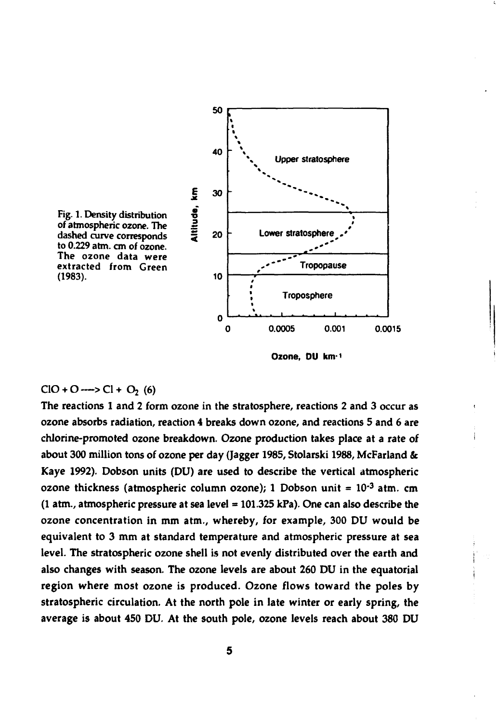

**Ozone, DU km-<sup>1</sup>**

#### $ClO + O \longrightarrow Cl + O_2(6)$

**The reactions 1 and 2 form ozone in the stratosphere, reactions 2 and 3 occur as ozone absorbs radiation, reaction 4 breaks down ozone, and reactions 5 and 6 are chlorine-promoted ozone breakdown. Ozone production takes place at a rate of about 300 million tons of ozone per day (Jagger 1985, Stolarski 1988, McFarland & Kaye 1992). Dobson units (DU) are used to describe the vertical atmospheric ozone thickness (atmospheric column ozone); 1 Dobson unit = 10'<sup>3</sup> atm. cm (1 atm., atmospheric pressure at sea level = 101.325 kPa). One can also describe the ozone concentration in mm atm., whereby, for example, 300 DU would be equivalent to 3 mm at standard temperature and atmospheric pressure at sea level. The stratospheric ozone shell is not evenly distributed over the earth and also changes with season. The ozone levels are about 260 DU in the equatorial region where most ozone is produced. Ozone flows toward the poles by stratospheric circulation. At the north pole in late winter or early spring, the average is about 450 DU. At the south pole, ozone levels reach about 380 DU**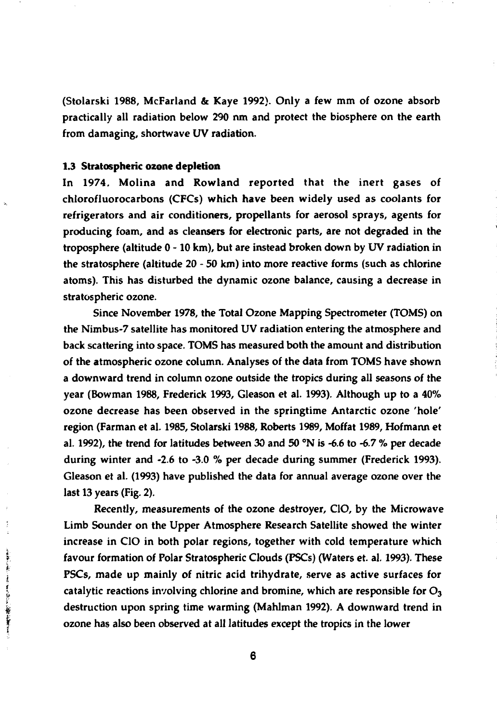**(Stolarski 1988, McFarland & Kaye 1992). Only a few mm of ozone absorb practically all radiation below 290 nm and protect the biosphere on the earth from damaging, shortwave UV radiation.**

#### **1.3 Stratospheric ozone depletion**

そのことにする すうかん にゅうせき まんきょう

**In 1974, Molina and Rowland reported that the inert gases of chlorofluorocarbons (CFCs) which have been widely used as coolants for refrigerators and air conditioners, propellants for aerosol sprays, agents for producing foam, and as cleansers for electronic parts, are not degraded in the troposphere (altitude 0-10 km), but are instead broken down by UV radiation in the stratosphere (altitude 20 - 50 km) into more reactive forms (such as chlorine atoms). This has disturbed the dynamic ozone balance, causing a decrease in stratospheric ozone.**

**Since November 1978, the Total Ozone Mapping Spectrometer (TOMS) on the Nimbus-7 satellite has monitored UV radiation entering the atmosphere and back scattering into space. TOMS has measured both the amount and distribution of the atmospheric ozone column. Analyses of the data from TOMS have shown a downward trend in column ozone outside the tropics during all seasons of the year (Bowman 1988, Frederick 1993, Gleason et al. 1993). Although up to a 40% ozone decrease has been observed in the springtime Antarctic ozone 'hole' region (Farman et al. 1985, Stolarski 1988, Roberts 1989, Moffat 1989, Hofmann et al. 1992), the trend for latitudes between 30 and 50 °N is -6.6 to -6.7 % per decade during winter and -2.6 to -3.0 % per decade during summer (Frederick 1993). Gleason et al. (1993) have published the data for annual average ozone over the last 13 years (Fig. 2).**

**Recently, measurements of the ozone destroyer, CIO, by the Microwave Limb Sounder on the Upper Atmosphere Research Satellite showed the winter increase in CIO in both polar regions, together with cold temperature which favour formation of Polar Stratospheric Clouds (PSCs) (Waters et. al. 1993). These PSCs, made up mainly of nitric acid trihydrate, serve as active surfaces for catalytic reactions involving chlorine and bromine, which are responsible for O<sup>3</sup> destruction upon spring time warming (Mahlman 1992). A downward trend in ozone has also been observed at all latitudes except the tropics in the lower**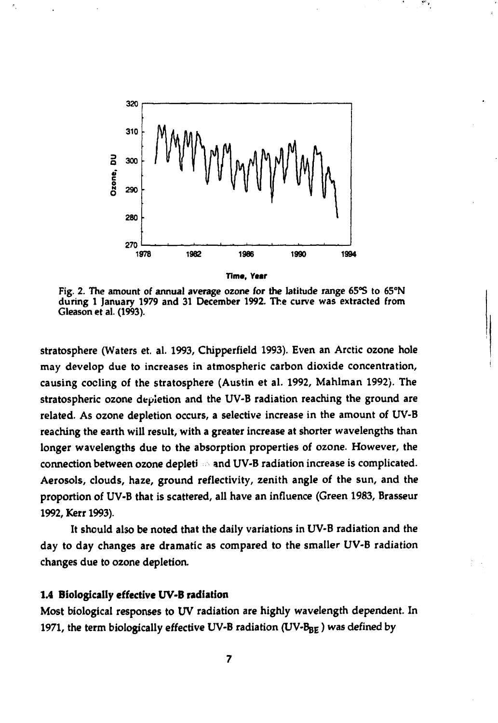

**Time, Year**

Fig. 2. The amount of annual average ozone for the latitude range 65°S to 65°N during 1 January 1979 and 31 December 1992. The curve was extracted from Gleason et al. (1993).

stratosphere (Waters et. al. 1993, Chipperfield 1993). Even an Arctic ozone hole may develop due to increases in atmospheric carbon dioxide concentration, causing coding of the stratosphere (Austin et al. 1992, Mahlman 1992). The stratospheric ozone depletion and the UV-B radiation reaching the ground are related. As ozone depletion occurs, a selective increase in the amount of UV-B reaching the earth will result, with a greater increase at shorter wavelengths than longer wavelengths due to the absorption properties of ozone. However, the connection between ozone depleti and UV-B radiation increase is complicated. Aerosols, clouds, haze, ground reflectivity, zenith angle of the sun, and the proportion of UV-B that is scattered, all have an influence (Green 1983, Brasseur 1992, Kerr 1993).

It should also be noted that the daily variations in UV-B radiation and the day to day changes are dramatic as compared to the smaller UV-B radiation changes due to ozone depletion.

#### **1.4 Biologically effective UV-B radiation**

Most biological responses to UV radiation are highly wavelength dependent. In 1971, the term biologically effective UV-B radiation (UV-BBE) was defined by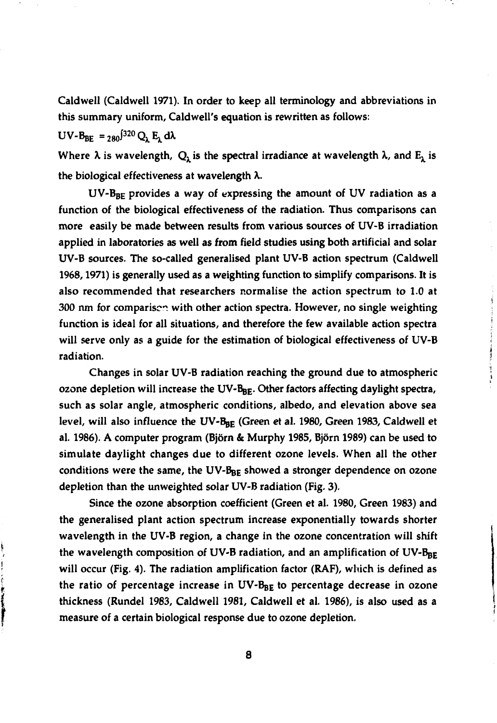**Caldwell (Caldwell 1971). In order to keep all terminology and abbreviations in this summary uniform, Caldwell's equation is rewritten as follows:**

 $UV-B_{BE} = 280^{320} Q_1 E_1 d\lambda$ 

 $\sum_{i=1}^{n}$ 

**The Second Second Second** 

Where  $\lambda$  is wavelength,  $Q_{\lambda}$  is the spectral irradiance at wavelength  $\lambda$ , and  $E_{\lambda}$  is **the biological effectiveness at wavelength** *X.*

**UV-BBE provides a way of expressing the amount of UV radiation as a function of the biological effectiveness of the radiation. Thus comparisons can more easily be made between results from various sources of UV-B irradiation applied in laboratories as well as from field studies using both artificial and solar UV-B sources. The so-called generalised plant UV-B action spectrum (Caldwell 1968,1971) is generally used as a weighting function to simplify comparisons. It is also recommended that researchers normalise the action spectrum to 1.0 at 300 nm for comparison with other action spectra. However, no single weighting function is ideal for all situations, and therefore the few available action spectra will serve only as a guide for the estimation of biological effectiveness of UV-B radiation.**

**Changes in solar UV-B radiation reaching the ground due to atmospheric ozone depletion will increase the UV-B<sub>BE</sub>. Other factors affecting daylight spectra, such as solar angle, atmospheric conditions, albedo, and elevation above sea** level, will also influence the UV-B<sub>BE</sub> (Green et al. 1980, Green 1983, Caldwell et **al. 1986). A computer program (Björn & Murphy 1985, Björn 1989) can be used to simulate daylight changes due to different ozone levels. When all the other** conditions were the same, the UV-B<sub>BE</sub> showed a stronger dependence on ozone **depletion than the unweighted solar UV-B radiation (Fig. 3).**

**Since the ozone absorption coefficient (Green et al. 1980, Green 1983) and the generalised plant action spectrum increase exponentially towards shorter wavelength in the UV-B region, a change in the ozone concentration will shift the wavelength composition of UV-B radiation, and an amplification of UV-Bgg will occur (Fig. 4). The radiation amplification factor (RAF), which is defined as the ratio of percentage increase in UV-Bgg to percentage decrease in ozone thickness (Rundel 1983, Caldwell 1981, Caldwell et al. 1986), is also used as a measure of a certain biological response due to ozone depletion.**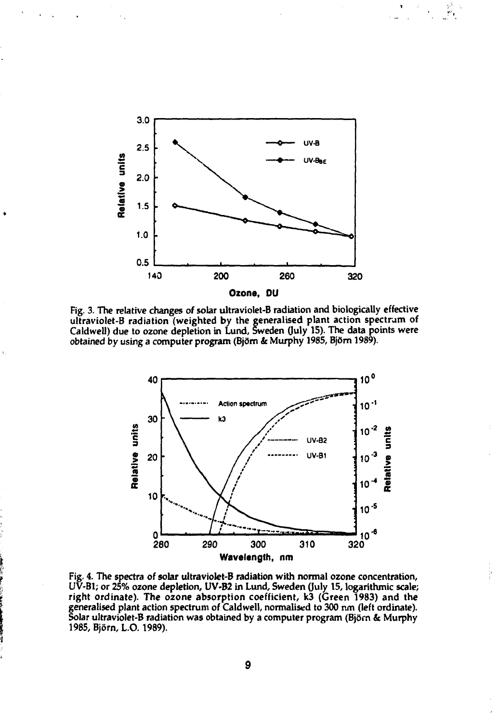

**Fig. 3. The relative changes of solar ultraviolet-B radiation and biologically effective ultraviolet-B radiation (weighted by the generalised plant action spectrum of Caldwell) due to ozone depletion in Lund, Sweden (July 15). The data points were obtained by using a computer program (Björn & Murphy 1985, Björn 1989).**



**Fig. 4. The spectra of solar ultraviolet-B radiation with normal ozone concentration, UV-B1; or 25% ozone depletion, UV-B2 in Lund, Sweden (July 15, logarithmic scale; right ordinate). The ozone absorption coefficient, k3 (Green 1983) and the generalised plant action spectrum of Caldwell, normalised to 300 nm (left ordinate). Solar ultraviolet-B radiation was obtained by a computer program (Björn & Murphy 1985, Björn, L.0.1989).**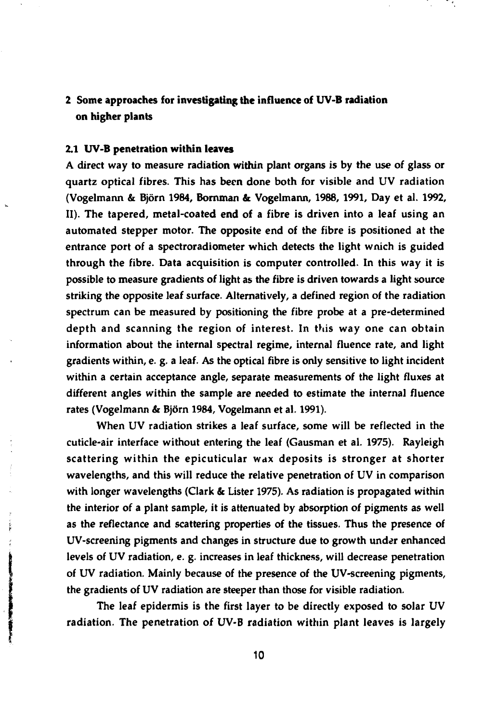**2 Some approaches for investigating the influence of UV-B radiation on higher plants**

#### **2.1 UV-B penetration within leaves**

A direct way to measure radiation within plant organs is by the use of glass or quartz optical fibres. This has been done both for visible and UV radiation (Vogelmann & Björn 1984, Bornman & Vogelmann, 1988, 1991, Day et al. 1992, II). The tapered, metal-coated end **of** a fibre is driven into a leaf using an automated stepper motor. The opposite end of the fibre is positioned at the entrance port of a spectroradiometer which detects the light wnich is guided through the fibre. Data acquisition is computer controlled. In this way it is possible to measure gradients of light as the fibre is driven towards a light source striking the opposite leaf surface. Alternatively, a defined region of the radiation spectrum can be measured by positioning the fibre probe at a pre-determined depth and scanning the region of interest. In this way one can obtain information about the internal spectral regime, internal fluence rate, and light gradients within, e. g. a leaf. As the optical fibre is only sensitive to light incident within a certain acceptance angle, separate measurements of the light fluxes at different angles within the sample are needed to estimate the internal fluence rates (Vogelmann & Björn 1984, Vogelmann et al. 1991).

When UV radiation strikes a leaf surface, some will be reflected in the cuticle-air interface without entering the leaf (Gausman et al. 1975). Rayleigh scattering within the epicuticular wax deposits is stronger at shorter wavelengths, and this will reduce the relative penetration of UV in comparison with longer wavelengths (Clark & Lister 1975). As radiation is propagated within the interior of **a** plant sample, it is attenuated by absorption of pigments as well as the reflectance and scattering properties of the tissues. Thus the presence of UV-screening pigments and changes in structure due to growth under enhanced levels of UV radiation, e. g. increases in leaf thickness, will decrease penetration of UV radiation. Mainly because of the presence of the UV-screening pigments, the gradients of UV radiation are steeper than those for visible radiation.

The leaf epidermis is the first layer to be directly exposed to solar UV radiation. The penetration of UV-B radiation within plant leaves is largely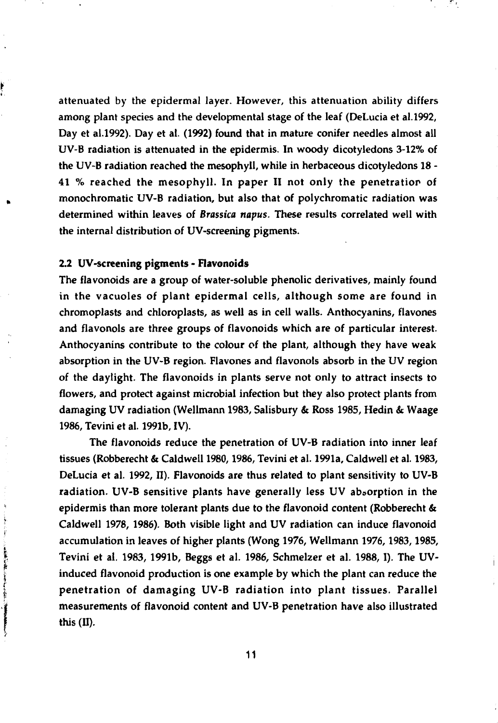attenuated by the epidermal layer. However, this attenuation ability differs among plant species and the developmental stage of the leaf (DeLucia et al.1992, Day et al.1992). Day et at. (1992) found that in mature conifer needles almost all UV-B radiation is attenuated in the epidermis. In woody dicotyledons 3-12% of the UV-B radiation reached the mesophyll, while in herbaceous dicotyledons 18 - 41 % reached the mesophyll. In paper II not only the penetration of monochromatic UV-B radiation, but also that of polychromatic radiation was determined within leaves of *Brassica napus.* These results correlated well with the internal distribution of UV-screening pigments.

#### 2.2 UV-screening pigments - Flavonoids

ŗ

不管

The flavonoids are a group of water-soluble phenolic derivatives, mainly found in the vacuoles of plant epidermal cells, although some are found in chromoplasts and chloroplasts, as well as in cell walls. Anthocyanins, flavones and flavonols are three groups of flavonoids which are of particular interest. Anthocyanins contribute to the colour of the plant, although they have weak absorption in the UV-B region. Flavones and flavonols absorb in the UV region of the daylight. The flavonoids in plants serve not only to attract insects to flowers, and protect against microbial infection but they also protect plants from damaging UV radiation (Wellmann 1983, Salisbury & Ross 1985, Hedin & Waage 1986, Tevini et al. 1991b, IV).

The flavonoids reduce the penetration of UV-B radiation into inner leaf tissues (Robberecht & Caldwell 1980,1986, Tevini et al. 1991a, Caldwell et al. 1983, DeLucia et al. 1992, II). Flavonoids are thus related to plant sensitivity to UV-B radiation. UV-B sensitive plants have generally less UV absorption in the epidermis than more tolerant plants due to the flavonoid content (Robberecht & Caldwell 1978, 1986). Both visible light and UV radiation can induce flavonoid accumulation in leaves of higher plants (Wong 1976, Wellmann 1976,1983,1985, Tevini et al. 1983, 1991b, Beggs et al. 1986, Schmelzer et al. 1988,1). The UVinduced flavonoid production is one example by which the plant can reduce the penetration of damaging UV-B radiation into plant tissues. Parallel measurements of flavonoid content and UV-B penetration have also illustrated this (H).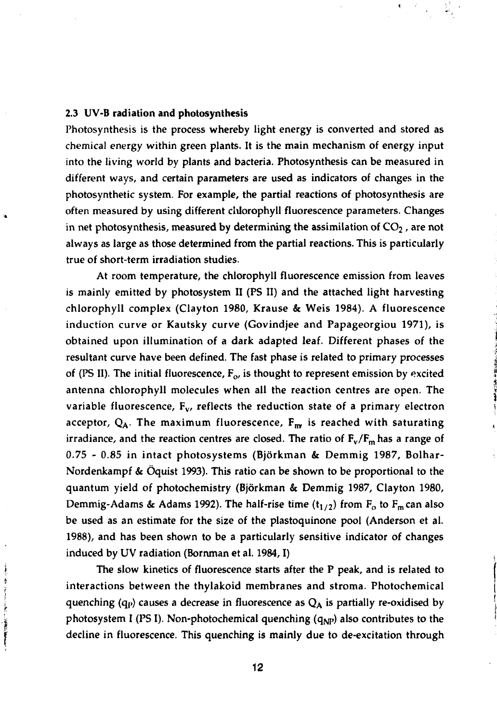#### 2.3 UV-B radiation and photosynthesis

大学のことに、このことに、この「大学」との「大学」という「大学」ということに、 このことには、「大学」ということに、「大学」ということです。

Photosynthesis is the process whereby light energy is converted and stored as chemical energy within green plants. It is the main mechanism of energy input into the living world by plants and bacteria. Photosynthesis can be measured in different ways, and certain parameters are used as indicators of changes in the photosynthetic system. For example, the partial reactions of photosynthesis are often measured by using different clUorophyll fluorescence parameters. Changes in net photosynthesis, measured by determining the assimilation of  $CO<sub>2</sub>$ , are not always as large as those determined from the partial reactions. This is particularly true of short-term irradiation studies.

At room temperature, the chlorophyll fluorescence emission from leaves is mainly emitted by photosystem II (PS II) and the attached light harvesting chlorophyll complex (Clayton 1980, Krause & Weis 1984). A fluorescence induction curve or Kautsky curve (Govindjee and Papageorgiou 1971), is obtained upon illumination of a dark adapted leaf. Different phases of the resultant curve have been defined. The fast phase is related to primary processes of (PS II). The initial fluorescence,  $F_{\alpha}$ , is thought to represent emission by excited antenna chlorophyll molecules when all the reaction centres are open. The variable fluorescence,  $F_v$ , reflects the reduction state of a primary electron acceptor,  $Q_A$ . The maximum fluorescence,  $F_{\text{rw}}$  is reached with saturating irradiance, and the reaction centres are closed. The ratio of  $F_v/F_m$  has a range of 0.75 - 0.85 in intact photosystems (Björkman & Demmig 1987, Bolhar-Nordenkampf & Öquist 1993). This ratio can be shown to be proportional to the quantum yield of photochemistry (Björkman & Demmig 1987, Clayton 1980, Demmig-Adams & Adams 1992). The half-rise time  $(t_{1/2})$  from  $F_0$  to  $F_m$  can also be used as an estimate for the size of the plastoquinone pool (Anderson et al. 1988), and has been shown to be a particularly sensitive indicator of changes induced by UV radiation (Bornman et al. 1984,1)

The slow kinetics of fluorescence starts after the P peak, and is related to interactions between the thylakoid membranes and stroma. Photochemical quenching (q<sub>p</sub>) causes a decrease in fluorescence as  $Q_A$  is partially re-oxidised by photosystem I (PS I). Non-photochemical quenching  $(q_{NP})$  also contributes to the decline in fluorescence. This quenching is mainly due to de-excitation through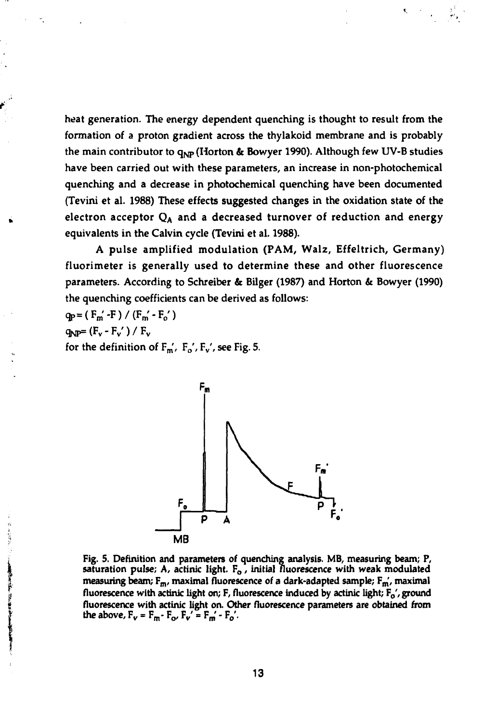**heat generation. The energy dependent quenching is thought to result from the formation of a proton gradient across the thylakoid membrane and is probably** the main contributor to q<sub>NP</sub> (Horton & Bowyer 1990). Although few UV-B studies **have been carried out with these parameters, an increase in non-photochemical quenching and a decrease in photochemical quenching have been documented (Tevini et al. 1988) These effects suggested changes in the oxidation state of the electron acceptor QA and a decreased turnover of reduction and energy equivalents in the Calvin cycle (Tevini et al. 1988).**

**A pulse amplified modulation (PAM, Walz, Effeltrich, Germany) fluorimeter is generally used to determine these and other fluorescence parameters. According to Schreiber & Bilger (1987) and Horton & Bowyer (1990) the quenching coefficients can be derived as follows:**

**qp=(Fm'-F)/(Fm'-F0') qNP=(Fv-Fv')/F<sup>v</sup>** for the definition of  $F_m$ ,  $F_o$ ,  $F_v$ , see Fig. 5.



**Fig. 5. Definition and parameters of quenching analysis. MB, measuring beam; P, saturation pulse;** *A,* **actinic light. Fo, initial fluorescence with weak modulated measuring beam; Fm, maximal fluorescence of a dark-adapted sample; Fm\ maximal fluorescence with actinic light on; F, fluorescence induced by actinic light; Fo', ground fluorescence with actinic light on. Other fluorescence parameters are obtained from the above,**  $F_v = F_m \cdot F_{o'} F_v' = F_m' \cdot F_{o'}'.$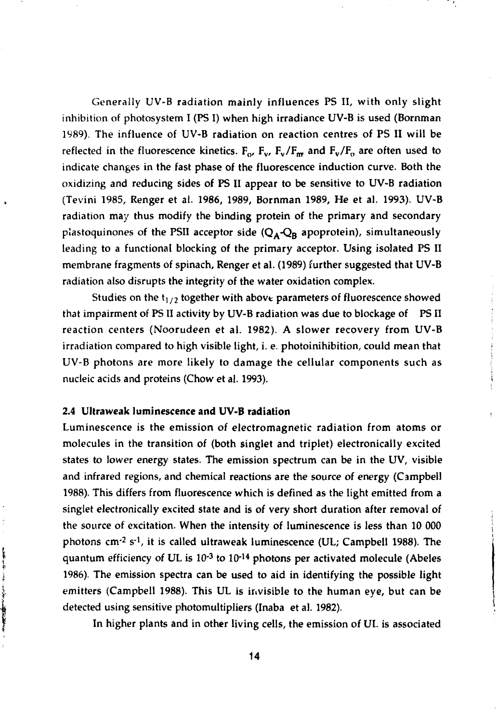Generally UV-B radiation mainly influences PS II, with only slight inhibition of photosystem I (PS I) when high irradiance UV-B is used (Bornman 1989). The influence of UV-B radiation on reaction centres of PS II will be reflected in the fluorescence kinetics.  $F_{\text{o}}$ ,  $F_{\text{v}}$ ,  $F_{\text{v}}/F_{\text{m}}$  and  $F_{\text{v}}/F_{\text{o}}$  are often used to indicate changes in the fast phase of the fluorescence induction curve. Both the oxidizing and reducing sides of PS II appear to be sensitive to UV-B radiation (Tevini 1985, Renger et al. 1986, 1989, Bornman 1989, He et al. 1993). UV-B radiation may thus modify the binding protein of the primary and secondary plastoquinones of the PSII acceptor side  $(Q_A - Q_B)$  apoprotein), simultaneously leading to a functional blocking of the primary acceptor. Using isolated PS II membrane fragments of spinach, Renger et al. (1989) further suggested that UV-B radiation also disrupts the integrity of the water oxidation complex.

Studies on the  $t_{1/2}$  together with above parameters of fluorescence showed that impairment of PS II activity by UV-B radiation was due to blockage of PS II reaction centers (Noorudeen et al. 1982). A slower recovery from UV-B irradiation compared to high visible light, i. e. photoinihibition, could mean that UV-B photons are more likely to damage the cellular components such as nucleic acids and proteins (Chow et al. 1993).

#### **2.4 Ultraweak luminescence and UV-B radiation**

**PARK AND CONTRACTORS OF PERSONS ASSESSED.** 

Luminescence is the emission of electromagnetic radiation from atoms or molecules in the transition of (both singlet and triplet) electronically excited states to lower energy states. The emission spectrum can be in the UV, visible and infrared regions, and chemical reactions are the source of energy (Campbell 1988). This differs from fluorescence which is defined as the light emitted from a singlet electronically excited state and is of very short duration after removal of the source of excitation. When the intensity of luminescence is less than 10 000 photons  $cm<sup>2</sup> s<sup>-1</sup>$ , it is called ultraweak luminescence (UL; Campbell 1988). The quantum efficiency of UL is  $10^{-3}$  to  $10^{-14}$  photons per activated molecule (Abeles 1986). The emission spectra can be used to aid in identifying the possible light emitters (Campbell 1988). This UL is invisible to the human eye, but can be detected using sensitive photomultipliers (Inaba et al. 1982).

In higher plants and in other living cells, the emission of UL is associated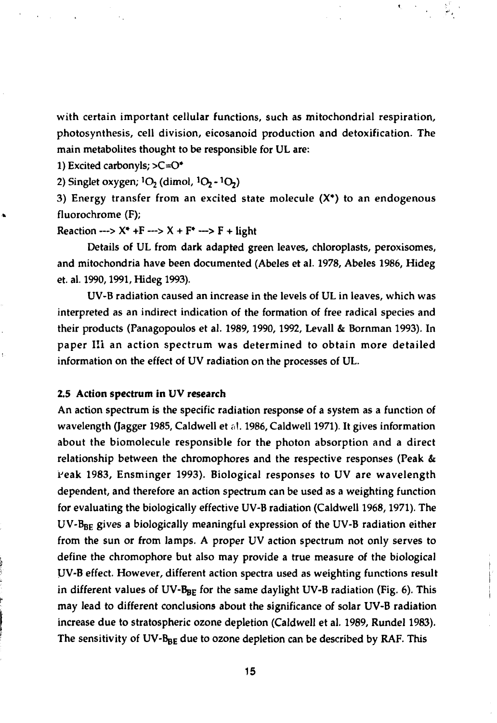with certain important cellular functions, such as mitochondrial respiration, photosynthesis, cell division, eicosanoid production and detoxification. The main metabolites thought to be responsible for UL are:

1) Excited carbonyls; >C=O\*

2) Singlet oxygen;  ${}^{1}O_{2}$  (dimol,  ${}^{1}O_{2}$  -  ${}^{1}O_{2}$ )

3) Energy transfer from an excited state molecule  $(X^*)$  to an endogenous fluorochrome (F);

Reaction --->  $X^*$  +F --->  $X$  + F\* ---> F + light

Details of UL from dark adapted green leaves, chloroplasts, peroxisomes, and mitochondria have been documented (Abeles et al. 1978, Abeles 1986, Hideg et. al. 1990,1991, Hideg 1993).

UV-B radiation caused an increase in the levels of UL in leaves, which was interpreted as an indirect indication of the formation of free radical species and their products (Panagopoulos et al. 1989, 1990, 1992, Levall & Bornman 1993). In paper I!i an action spectrum was determined to obtain more detailed information on the effect of UV radiation on the processes of UL.

#### **2.5 Action spectrum in UV research**

An action spectrum is the specific radiation response of a system as a function of wavelength (Jagger 1985, Caldwell et al. 1986, Caldwell 1971). It gives information about the biomolecule responsible for the photon absorption and a direct relationship between the chromophores and the respective responses (Peak & Peak 1983, Ensminger 1993). Biological responses to UV are wavelength dependent, and therefore an action spectrum can be used as a weighting function for evaluating the biologically effective UV-B radiation (Caldwell 1968,1971). The UV-B<sub>BE</sub> gives a biologically meaningful expression of the UV-B radiation either from the sun or from lamps. A proper UV action spectrum not only serves to define the chromophore but also may provide a true measure of the biological UV-B effect. However, different action spectra used as weighting functions result in different values of  $UV-B_{BE}$  for the same daylight UV-B radiation (Fig. 6). This may lead to different conclusions about the significance of solar UV-B radiation increase due to stratospheric ozone depletion (Caldwell et al. 1989, Rundel 1983). The sensitivity of UV-B<sub>BE</sub> due to ozone depletion can be described by RAF. This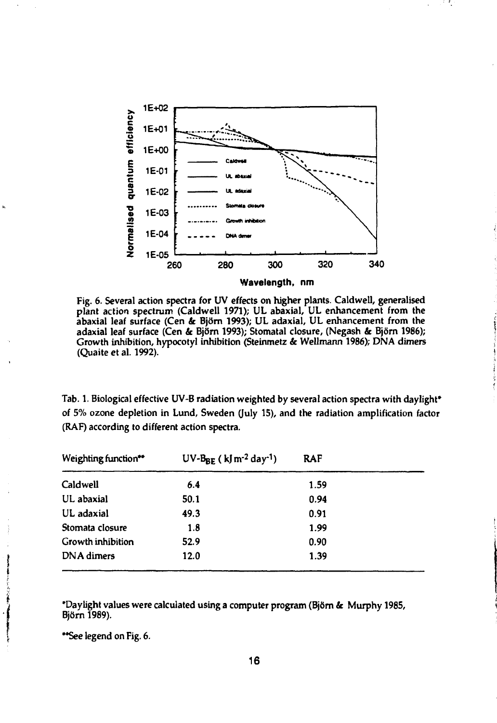

**Fig. 6. Several action spectra for UV effects on higher plants. Caldwell, generalised plant action spectrum (Caldwell 1971); UL abaxial, UL enhancement from the abaxial leaf surface (Cen & Björn 1993); UL adaxial, UL enhancement from the adaxial leaf surface (Cen & Björn 1993); Stomatal closure, (Negash & Björn 1986); Growth inhibition, hypocotyl inhibition (Steinmetz** *&* **Wellmann 1986); DNA dimers (Quaite et al. 1992).**

**Tab. 1. Biological effective UV-B radiation weighted by several action spectra with daylight\* of 5% ozone depletion in Lund, Sweden (July 15), and the radiation amplification factor (RAF) according to different action spectra.**

| Weighting function** | $UV-B_{BF}$ (kJm <sup>-2</sup> day <sup>-1</sup> ) | <b>RAF</b> |  |
|----------------------|----------------------------------------------------|------------|--|
| <b>Caldwell</b>      | 6.4                                                | 1.59       |  |
| UL abaxial           | 50.1                                               | 0.94       |  |
| UL adaxial           | 49.3                                               | 0.91       |  |
| Stomata closure      | 1.8                                                | 1.99       |  |
| Growth inhibition    | 52.9                                               | 0.90       |  |
| DNA dimers           | 12.0                                               | 1.39       |  |

**'Daylight values were calculated using a computer program (Björn & Murphy 1985, Björn 1989).**

**\*\*See legend on Fig. 6.**

どろりないもの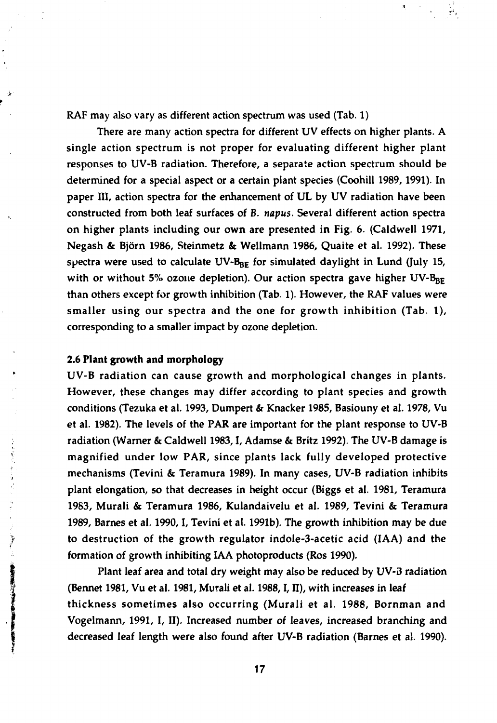RAF may also vary as different action spectrum was used (Tab. 1)

There are many action spectra for different UV effects on higher plants. A single action spectrum is not proper for evaluating different higher plant responses to UV-B radiation. Therefore, a separate action spectrum should be determined for a special aspect or **a** certain plant species (Coohill 1989, 1991). In paper III, action spectra for the enhancement of UL by UV radiation have been constructed from both leaf surfaces of B. *napus.* Several different action spectra on higher plants including our **own** are presented in Fig. 6. (Caldwell 1971, Negash & Björn 1986, Steinmetz & Wellmann 1986, Quaite et al. 1992). These spectra were used to calculate UV- $B_{BE}$  for simulated daylight in Lund (July 15, with or without 5% ozone depletion). Our action spectra gave higher  $UV-B_{BE}$ than others except for growth inhibition (Tab. 1). However, the RAF values were smaller using our spectra and the one for growth inhibition (Tab. 1), corresponding to a smaller impact by ozone depletion.

#### **2.6 Plant growth and morphology**

**Company** 

● 地名美国沃尔马克 人名英格兰人姓氏麦克里奇

UV-B radiation can cause growth and morphological changes in plants. However, these changes may differ according to plant species and growth conditions (Tezuka et al. 1993, Dumpert *&r* Knacker 1985, Basiouny et al. 1978, Vu et al. 1982). The levels of the PAR are important for the plant response to UV-B radiation (Warner & Caldwell 1983,1, Adamse & Britz 1992). The UV-B damage is magnified under low PAR, since plants lack fully developed protective mechanisms (Tevini & Teramura 1989). In many cases, UV-B radiation inhibits plant elongation, so that decreases in height occur (Biggs et al. 1981, Teramura 1983, Murali & Teramura 1986, Kulandaivelu et al. 1989, Tevini & Teramura 1989, Barnes et al. 1990,1, Tevini et al. 1991b). The growth inhibition may be due to destruction of the growth regulator indole-3-acetic acid (IAA) and the formation of growth inhibiting IAA photoproducts (Ros 1990).

Plant leaf area and total dry weight may also be reduced by UV-D radiation (Bennet 1981, Vu et al. 1981, Murali et al. 1988,1, II), with increases in leaf thickness sometimes also occurring (Murali et al. 1988, Bornman and Vogelmann, 1991, I, II). Increased number of leaves, increased branching and decreased leaf length were also found after UV-B radiation (Barnes et al. 1990).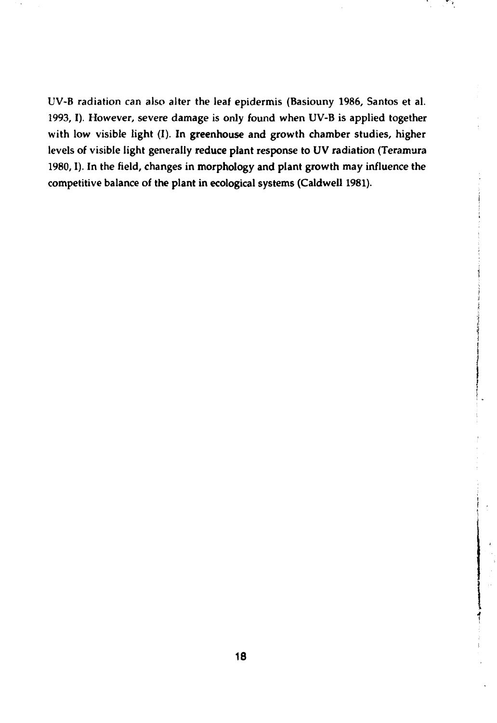UV-B radiation can also alter the leaf epidermis (Basiouny 1986, Santos et al. 1993, I). However, severe damage is only found when UV-B is applied together with low visible light (I). In greenhouse and growth chamber studies, higher levels of visible light generally reduce plant response to UV radiation (Teramura 1980,1). In the field, changes in morphology and plant growth may influence the competitive balance of the plant in ecological systems (Caidwell 1981).

ि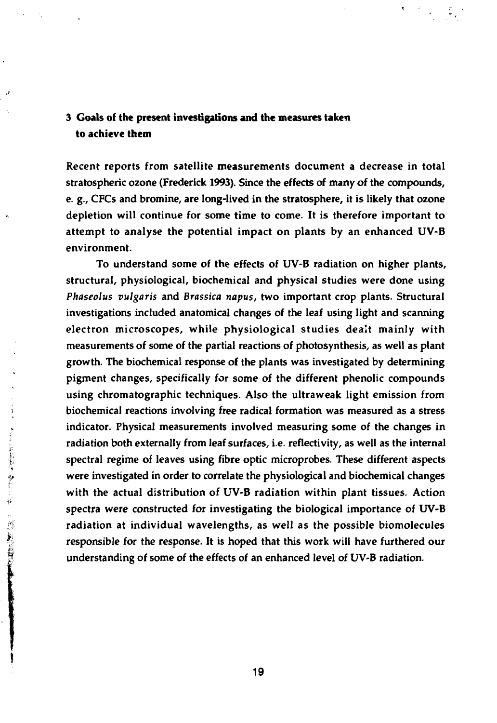### **3 Goals of the present investigations and the measures taken to achieve them**

Recent reports from satellite measurements document a decrease in total stratospheric ozone (Frederick 1993). Since the effects of many of the compounds, e. g., CFCs and bromine, are long-lived in the stratosphere, it is likely that ozone depletion will continue for some time to come. It is therefore important to attempt to analyse the potential impact on plants by an enhanced UV-B environment.

To understand some of the effects of UV-B radiation on higher plants, structural, physiological, biochemical and physical studies were done using *Phaseolus vulgaris* and *Brassica napus,* two important crop plants. Structural investigations included anatomical changes of the leaf using light and scanning electron microscopes, while physiological studies dealt mainly with measurements of some of the partial reactions of photosynthesis, as well as plant growth. The biochemical response of the plants was investigated by determining pigment changes, specifically for some of the different phenolic compounds using chromatographic techniques. Also the ultraweak light emission from biochemical reactions involving free radical formation was measured as a stress indicator. Physical measurements involved measuring some of the changes in radiation both externally from leaf surfaces, i.e. reflectivity, as well as the internal<br>spectral regime of leaves using fibre optic microprobes. These different aspects<br>were investigated in order to correlate the physiolo spectral regime of leaves using fibre optic microprobes. These different aspects were investigated in order to correlate the physiological and biochemical changes with the actual distribution of UV-B radiation within plant tissues. Action spectra were constructed for investigating the biological importance of UV-B radiation at individual wavelengths, as well as the possible biomolecules<br>responsible for the response. It is hoped that this work will have furthered our<br>understanding of some of the effects of an enhanced level of UV-B r responsible for the response. It is hoped that this work will have furthered our understanding of some of the effects of an enhanced level of UV-B radiation.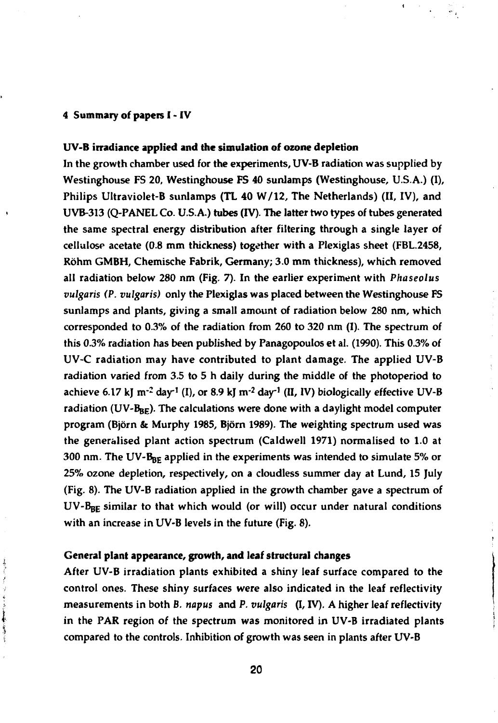#### **4 Summary of papers I - IV**

#### **UV-B irradiance applied and the simulation of ozone depletion**

**In the growth chamber used for the experiments, UV-B radiation was supplied by Westinghouse FS 20, Westinghouse FS 40 sunlamps (Westinghouse, U.S.A.) (I), Philips Ultraviolet-B sunlamps (TL 40 W/12, The Netherlands) (II, IV), and UVB-313 (Q-PANEL Co. U.S.A.) tubes (IV). The latter two types of tubes generated the same spectral energy distribution after filtering through a single layer of cellulose acetate (0.8 mm thickness) together with a Plexiglas sheet (FBL.2458, Röhm GMBH, Chemische Fabrik, Germany; 3.0 mm thickness), which removed all radiation below 280 nm (Fig. 7). In the earlier experiment with** *Phaseolus vulgaris (P. vulgaris)* **only the Plexiglas was placed between the Westinghouse FS sunlamps and plants, giving a small amount of radiation below 280 nm, which corresponded to 0.3% of the radiation from 260 to 320 nm (I). The spectrum of this 0.3% radiation has been published by Panagopoulos et al. (1990). This 0.3% of UV-C radiation may have contributed to plant damage. The applied UV-B radiation varied from 3.5 to 5 h daily during the middle of the photoperiod to achieve 6.17 kj nr<sup>2</sup> day<sup>1</sup> (I), or 8.9 kj nv<sup>2</sup> day<sup>1</sup> (II, IV) biologically effective UV-B** radiation (UV-B<sub>BE</sub>). The calculations were done with a daylight model computer **program (Björn & Murphy 1985, Björn 1989). The weighting spectrum used was the generalised plant action spectrum (Caldwell 1971) normalised to 1.0 at 300 nm. The UV-BpE applied in the experiments was intended to simulate 5% or 25% ozone depletion, respectively, on a cloudless summer day at Lund, 15 July (Fig. 8). The UV-B radiation applied in the growth chamber gave a spectrum of UV-Bgg similar to that which would (or will) occur under natural conditions with an increase in UV-B levels in the future (Fig. 8).**

#### **General plant appearance, growth, and leaf structural changes**

あいかい きん

医原子 Ť **After UV-B irradiation plants exhibited a shiny leaf surface compared to the control ones. These shiny surfaces were also indicated in the leaf reflectivity measurements in both** *B. napus* **and P.** *vulgaris* **(I, IV). A higher leaf reflectivity in the PAR region of the spectrum was monitored in UV-B irradiated plants compared to the controls. Inhibition of growth was seen in plants after UV-B**

**20**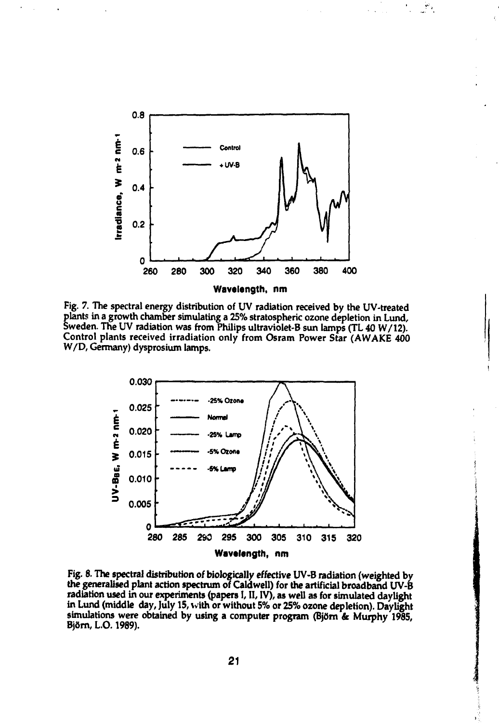

**Fig. 7. The spectral energy distribution of UV radiation received by the UV-treated plants in a growth chamber simulating a 25% stratospheric ozone depletion in Lund, Sweden. The UV radiation was from Philips ultraviolet-B sun lamps (TL 40 W/12). Control plants received irradiation only from Osram Power Star (AWAKE 400 W/D, Germany) dysprosium lamps.**



**Fig. 8. The spectral distribution of biologically effective UV-B radiation (weighted by the generalised plant action spectrum of Caldwell) for the artificial broadband UV-B radiation used in our experiments (papers I, II, IV), as well as for simulated daylight in Lund (middle day, July 15, with or without 5% or 25% ozone depletion). Daylight simulations were obtained by using a computer program (Björn & Murphy 1985, F** *7* **Björn, L.0.1989).**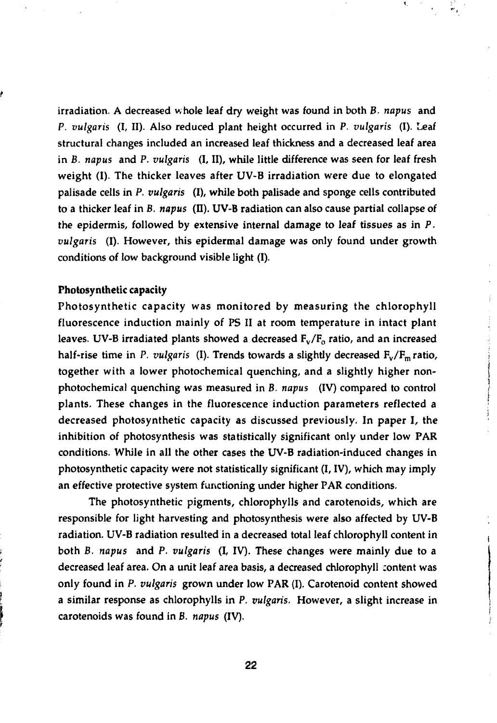irradiation. A decreased whole leaf dry weight was found in both *B. napus* and *P. vulgaris* (I, II). Also reduced plant height occurred in P. *vulgaris* (I). Leaf structural changes included an increased leaf thickness and a decreased leaf area in B. *napus* and P. *vulgaris* (I, II), while little difference was seen for leaf fresh weight (I). The thicker leaves after UV-B irradiation were due to elongated palisade cells in P. *vulgaris* (I), while both palisade and sponge cells contributed to a thicker leaf in *B. napus* (II). UV-B radiation can also cause partial collapse of the epidermis, followed by extensive internal damage to leaf tissues as in P. *vulgaris* (I). However, this epidermal damage was only found under growth conditions of low background visible light (I).

#### Photosynthetic capacity

Photosynthetic capacity was monitored by measuring the chlorophyll fluorescence induction mainly of PS II at room temperature in intact plant leaves. UV-B irradiated plants showed a decreased  $F_v/F_o$  ratio, and an increased half-rise time in P. vulgaris (I). Trends towards a slightly decreased  $F_v/F_m$  ratio, together with a lower photochemical quenching, and a slightly higher nonphotochemical quenching was measured in B. *napus* (IV) compared to control plants. These changes in the fluorescence induction parameters reflected a decreased photosynthetic capacity as discussed previously. In paper I, the inhibition of photosynthesis was statistically significant only under low PAR conditions. While in all the other cases the UV-B radiation-induced changes in photosynthetic capacity were not statistically significant (I, IV), which may imply an effective protective system functioning under higher PAR conditions.

The photosynthetic pigments, chlorophylls and carotenoids, which are responsible for light harvesting and photosynthesis were also affected by UV-B radiation. UV-B radiation resulted in a decreased total leaf chlorophyll content in both B. *napus* and P. *vulgaris* (I, IV). These changes were mainly due to a decreased leaf area. On a unit leaf area basis, a decreased chlorophyll content was only found in P. *vulgaris* grown under low PAR (I). Carotenoid content showed a similar response as chlorophylls in P. *vulgaris.* However, a slight increase in carotenoids was found in B. *napus* (IV).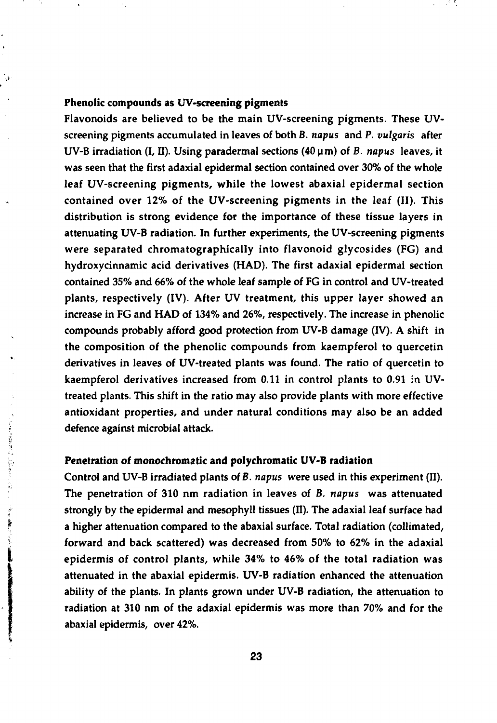#### **Phenolic compounds as UV-scrcening pigments**

١,

してましまる 年にいにかきえこう

i<br>P

Flavonoids are believed to be the main UV-screening pigments. These UVscreening pigments accumulated in leaves of both *B. napus* and P. *vulgaris* after UV-B irradiation (I, II). Using paradermal sections (40 um) of *B. napus* leaves, it was seen that the first adaxial epidermal section contained over 30% of the whole leaf UV-screening pigments, while the lowest abaxial epidermal section contained over 12% of the UV-screening pigments in the leaf (II). This distribution is strong evidence for the importance of these tissue layers in attenuating UV-B radiation. In further experiments, the UV-screening pigments were separated chromatographically into flavonoid glycosides (FG) and hydroxycinnamic acid derivatives (HAD). The first adaxial epidermal section contained 35% and 66% of the whole leaf sample of FG in control and UV-treated plants, respectively (IV). After UV treatment, this upper layer showed an increase in FG and HAD of 134% and 26%, respectively. The increase in phenolic compounds probably afford good protection from UV-B damage (IV). A shift in the composition of the phenolic compounds from kaempferol to quercetin derivatives in leaves of UV-treated plants was found. The ratio of quercetin to kaempferol derivatives increased from 0.11 in control plants to 0.91 in UVtreated plants. This shift in the ratio may also provide plants with more effective antioxidant properties, and under natural conditions may also be an added defence against microbial attack.

#### **Penetration of monochromatic and polychromatic UV-B radiation**

Control and UV-B irradiated plants of *B. napus* were used in this experiment (II). The penetration of 310 nm radiation in leaves of *B. napus* was attenuated strongly by the epidermal and mesophyll tissues (II). The adaxial leaf surface had a higher attenuation compared to the abaxial surface. Total radiation (collimated, forward and back scattered) was decreased from 50% to 62% in the adaxial epidermis of control plants, while 34% to 46% of the total radiation was attenuated in the abaxial epidermis. UV-B radiation enhanced the attenuation ability of the plants. In plants grown under UV-B radiation, the attenuation to radiation at 310 nm of the adaxial epidermis was more than 70% and for the abaxial epidermis, over 42%.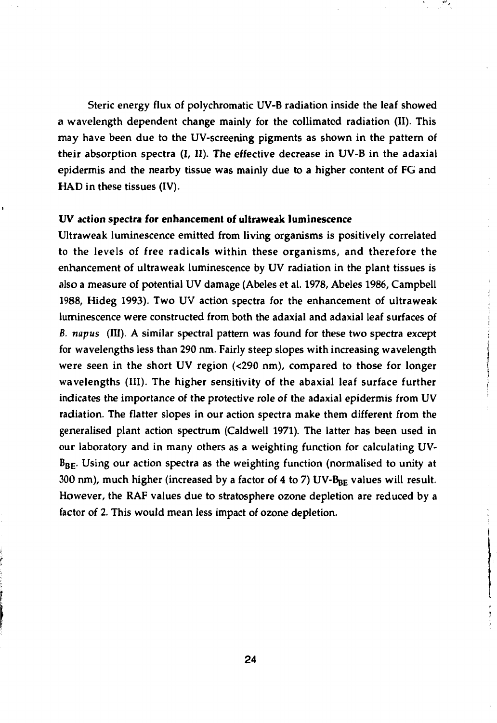Steric energy flux of polychromatic UV-B radiation inside the leaf showed **a** wavelength dependent change mainly for the collimatcd radiation (II). This may have been due to the UV-screening pigments as shown in the pattern of their absorption spectra (I, II). The effective decrease in UV-B in the adaxial epidermis and the nearby tissue was mainly due to **a** higher content of FG and HAD in these tissues **(IV).**

#### **UV action spectra for enhancement of ultraweak luminescence**

Ultraweak luminescence emitted from living organisms is positively correlated to the levels of free radicals within these organisms, and therefore the enhancement of ultraweak luminescence by UV radiation in the plant tissues is also a measure of potential UV damage (Abeles et al. 1978, Abeles 1986, Campbell 1988, Hideg 1993). Two UV action spectra for the enhancement of ultraweak luminescence were constructed from both the adaxial and adaxial leaf surfaces of *B. napus* (III). A similar spectral pattern was found for these two spectra except for wavelengths less than 290 nm. Fairly steep slopes with increasing wavelength were seen in the short UV region (<290 nm), compared to those for longer wavelengths (III). The higher sensitivity of the abaxial leaf surface further indicates the importance of the protective role of the adaxial epidermis from UV radiation. The flatter slopes in our action spectra make them different from the generalised plant action spectrum (Caldwell 1971). The latter has been used in our laboratory and in many others as a weighting function for calculating UV- $B_{BE}$ . Using our action spectra as the weighting function (normalised to unity at 300 nm), much higher (increased by a factor of 4 to 7) UV- $B_{BE}$  values will result. However, the RAF values due to stratosphere ozone depletion are reduced by a factor of 2. This would mean less impact of ozone depletion.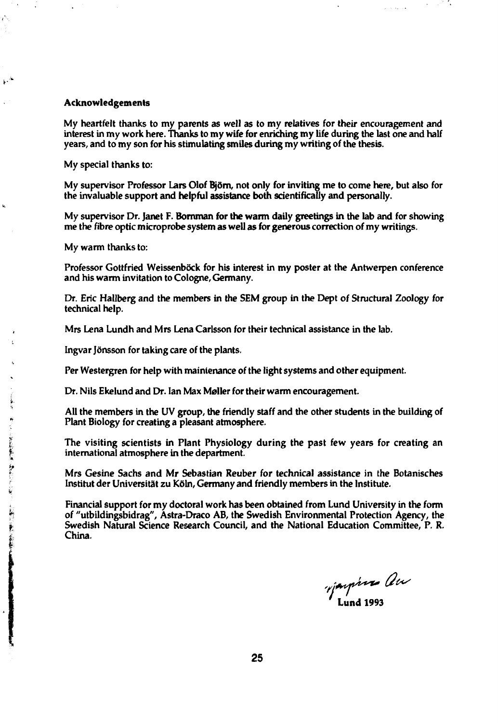#### **Acknowledgements**

My heartfelt thanks to my parents as well as to my relatives for their encouragement and interest in my work here. Thanks to my wife for enriching my life during the last one and half years, and to my son for his stimulating smiles during my writing of the thesis.

My special thanks to:

My supervisor Professor Lars Olof Björn, not only for inviting me to come here, but also for the invaluable support and helpful assistance both scientifically and personally.

My supervisor Dr. Janet F. Bornman for the warm daily greetings in the lab and for showing me the fibre optic microprobe system as well as for generous correction of my writings.

My warm thanks to:

**k**

γN,

 $\mathbb{R}^{\mathbb{A}}$ 

Professor Gottfried Weissenböck for his interest in my poster at the Antwerpen conference and his warm invitation to Cologne, Germany.

Dr. Eric Hallberg and the members in the SEM group in the Dept of Structural Zoology for technical help.

Mrs Lena Lundh and Mrs Lena Carlsson for their technical assistance in the lab.

Ingvar Jönsson for taking care of the plants.

Per Westergren for help with maintenance of the light systems and other equipment.

Dr. Nils Ekelund and Dr. Ian Max Møller for their warm encouragement.

All the members in the UV group, the friendly staff and the other students in the building of Plant Biology for creating a pleasant atmosphere.

international atmosphere in the department.

|<br>
The visiting scientists in Plant Physiology during the past few years for creating an<br>
international atmosphere in the department.<br>
Mrs Gesine Sachs and Mr Sebastian Reuber for technical assistance in the Botanisches<br>
I Mrs Gesine Sachs and Mr Sebastian Reuber for technical assistance in the Botanisches ' Institut der Universität zu Köln, Germany and friendly members in the Institute.

Financial support for my doctoral work has been obtained from Lund University in the form<br>of "utbildingsbidrag", Astra-Draco AB, the Swedish Environmental Protection Agency, the<br>Swedish Natural Science Research Council, an *ft* of "utbildingsbidrag", Astra-Draco AB, the Swedish Environmental Protection Agency, the *I* Swedish Natural Science Research Council, and the National Education Committee, P. R. | China.

*'* **Lund 1993**

 $\mathcal{L}(\mathcal{A}_2)$  .  $\mathcal{A}_2$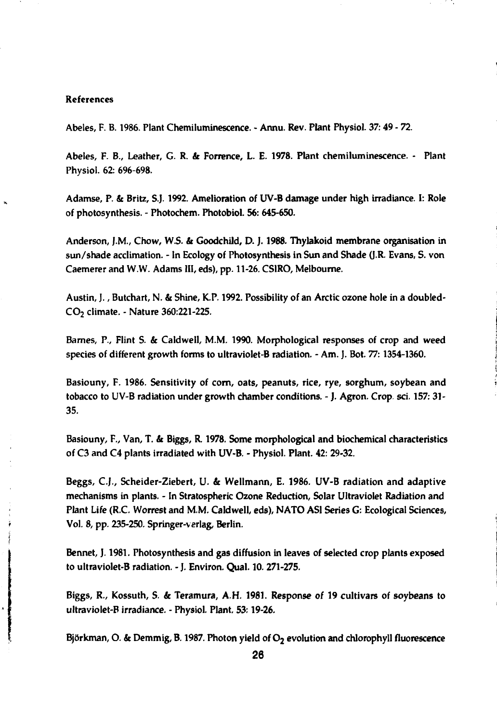#### **References**

**Abeles, F. B. 1986. Plant Chemiluminescence. - Annu. Rev. Plant Physiol. 37:49 - 72.**

**Abeles, F. B., Leather, G. R.** *k* **Forrence, L. E. 1978. Plant chemiluminescence. - Plant Physiol. 62: 696-698.**

**Adamse, P. & Britz, S.J. 1992. Amelioration of UV-B damage under high irradiance. I: Role of photosynthesis. - Photochem. Photobiol. 56: 645-650.**

**Anderson, J.M., Chow, W.S. & Goodchild, D. J. 1988. Thylakoid membrane organisation in sun/shade acclimation. - In Ecology of Photosynthesis in Sun and Shade (J.R. Evans, S. von Caemerer and W.W. Adams HI, eds), pp. 11-26. CSIRO, Melbourne.**

**Austin, J., Butchart, N. & Shine, K.P. 1992. Possibility of an Arctic ozone hole in a doubled-CO2 climate. - Nature 360:221-225.**

**Bames, P., Flint S. & Caldwell, M.M. 1990. Morphological responses of crop and weed species of different growth forms to ultraviolet-B radiation. - Am. J. Bot.** *77:***1354-1360.**

**Basiouny, F. 1986. Sensitivity of corn, oats, peanuts, rice, rye, sorghum, soybean and tobacco to UV-B radiation under growth chamber conditions. - J. Agron. Crop. set. 157: 31- 35.**

**Basiouny, F., Van, T.** *k* **Biggs, R. 1978. Some morphological and biochemical characteristics of C3 and C4 plants irradiated with UV-B. - Physiol. Plant. 42: 29-32.**

**Beggs, C.J., Scheider-Ziebert, U.** *k* **Wellmann, E. 1986. UV-B radiation and adaptive mechanisms in plants. - In Stratospheric Ozone Reduction, Solar Ultraviolet Radiation and Plant Life (R.C. Worrest and M.M. Caldwell, eds), NATO ASI Series G: Ecological Sciences, Vol. 8, pp. 235-250. Springer-verlag, Berlin.**

**Bennet, ]. 1981. Photosynthesis and gas diffusion in leaves of selected crop plants exposed to ultraviolet-B radiation. - J. Environ. Qual. 10. 271-275.**

**Biggs, R., Kossuth, S.** *k* **Teramura, A.H. 1981. Response of 19 cultivars of soybeans to ultraviolet-B irradiance. - Physiol. Plant. 53:19-26.**

Björkman, O. & Demmig, B. 1987. Photon yield of O<sub>2</sub> evolution and chlorophyll fluorescence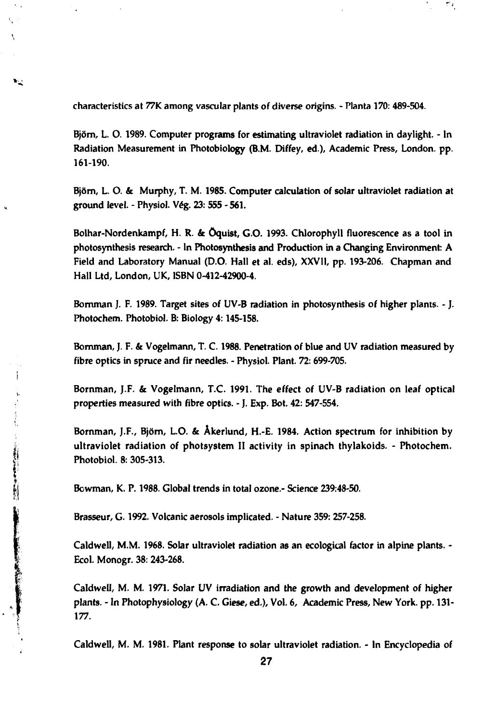**characteristics at 77K among vascular plants of diverse origins. - Planta 170: 489-504.**

 $\mathbf{v}_\infty$ 

**Björn, L. O. 1989. Computer programs for estimating ultraviolet radiation in daylight. - In Radiation Measurement in Photobiology (B.M. Diffey, ed.). Academic Press, London, pp. 161-190.**

**Björn, L. O. & Murphy, T. M. 1985. Computer calculation of solar ultraviolet radiation at ground level. - Physiol. Vég. 23: 555-561.**

**Bolhar-Nordenkampf, H. R. & öquist, G.O. 1993. Chlorophyll fluorescence as a tool in photosynthesis research. - In Photosynthesis and Production in a Changing Environment: A Field and Laboratory Manual (D.O. Hall et al. eds), XXVII, pp. 193-206. Chapman and Hall Ltd, London, UK, ISBN 0-412-42900-4.**

**Bornman J. F. 1989. Target sites of UV-B radiation in photosynthesis of higher plants. - J. Photochem. Photobiol. B: Biology 4:145-158.**

**Bomman, J. F. & Vogelmann, T. C 1988. Penetration of blue and UV radiation measured by fibre optics in spruce and fir needles. - Physiol. Plant. 72: 699-705.**

**Bornman, J.F. & Vogelmann, T.C. 1991. The effect of UV-B radiation on leaf optical properties measured with fibre optics. - J. Exp. Bot. 42: 547-554.**

**Bornman, J.F., Björn, L.O. & Åkerlund, H.-E. 1984. Action spectrum for inhibition by ultraviolet radiation of photsystem II activity in spinach thylakoids. - Photochem. Photobiol. 8: 305-313.**

**Bowman, K. P. 1988. Global trends in total ozone.- Science 239:48-50.**

**Brasseur, G. 1992. Volcanic aerosols implicated. - Nature 359: 257-258.**

**Caldwell, M.M. 1968. Solar ultraviolet radiation as an ecological factor in alpine plants. - Ecol. Monogr. 38: 243-268.**

**Caldwell, M. M. 1971. Solar UV irradiation and the growth and development of higher plants. - In Photophysiology (A. C. Giese, ed.), Vol. 6, Academic Press, New York. pp. 131- 177.**

**Caldwell, M. M. 1981. Plant response to solar ultraviolet radiation. - In Encyclopedia of**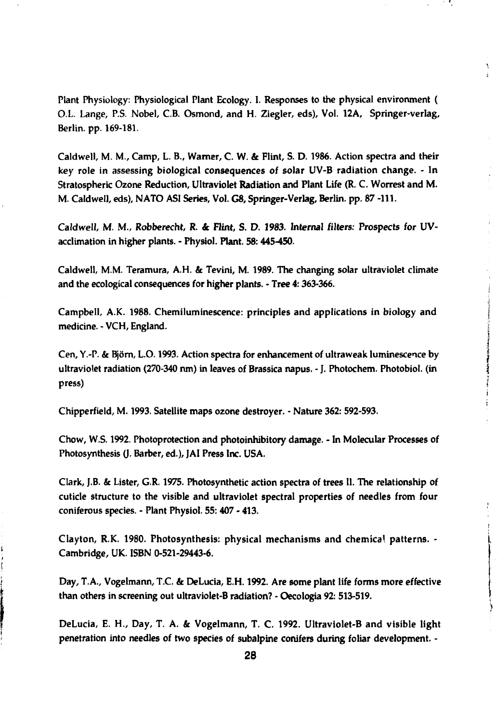**Plant Physiology: Physiological Plant Ecology. I. Responses to the physical environment ( O.L. Lange, P.S. Nobel, C.B. Osmond, and H. Ziegler, eds), Vol. 12A, Springer-verlag, Berlin, pp. 169-181.**

**Caldwell, M. M., Camp, L. B., Warner, C. W. & Flint, S. D. 1986. Action spectra and their key role in assessing biological consequences of solar UV-B radiation change. - In Stratospheric Ozone Reduction, Ultraviolet Radiation and Plant Life (R. C. Worrest and M. M. Caldwell, eds), NATO ASI Series, Vol. G8, Springer-Veriag, Berlin, pp. 87 -111.**

**Caldwell, M. M., Robberecht, R. & Flint, S. D. 1983. Internal filters: Prospects for UVacclimation in higher plants. - Physiol. Plant. 58:445-450.**

**Caldwell, M.M. Teramura, A.H. & Tevini, M. 1989. The changing solar ultraviolet climate and the ecological consequences for higher plants. - Tree 4:363-366. ;**

**Campbell, A.K. 1988. Chemiluminescence: principles and applications in biology and i medicine. - VCH, England.** *\*

> **I I**

¥  $\frac{1}{2}$ 

**i**

Cen, Y.-P. & Björn, L.O. 1993. Action spectra for enhancement of ultraweak luminescence by ultraviolet radiation (270-340 nm) in leaves of Brassica napus. - J. Photochem. Photobiol. (in **ultraviolet radiation (270-340 run) in leaves of Brassica napus. - J. Photochem. Photochem. Photochem. Photochem. Photochem. Photochem. Photochem. Photochem. Photochem. Photochem. Photochem. Photochem. Photochem. Photoche** 

**press) I**

Chipperfield, M. 1993. Satellite maps ozone destroyer. - Nature 362: 592-593.

**Chow, W.S. 1992. Photoprotection and photoinhibitory damage. - In Molecular Processes of** Photosynthesis (J. Barber, ed.), JAI Press Inc. USA.

**Clark, J.B. & Lister, G.R. 1975. Photosynthetic action spectra of trees II. The relationship of cuticle structure to the visible and ultraviolet spectral properties of needles from four coniferous species. - Plant Physiol. 55: 407 - 413.**

**Clayton, R.K. 1980. Photosynthesis: physical mechanisms and chemica' patterns. - Cambridge, UK. ISBN 0-521-29443-6.**

**Day, T.A., Vogelmann, T.C. & DeLucia, E.H. 1992. Are some plant life forms more effective than others in screening out ultraviolet-B radiation? - Oecologia 92: 513-519.**

**DeLucia, E. H., Day, T. A. & Vogelmann, T. C 1992. Ultraviolet-B and visible light penetration into needles of two species of subalpine conifers during foliar development. -**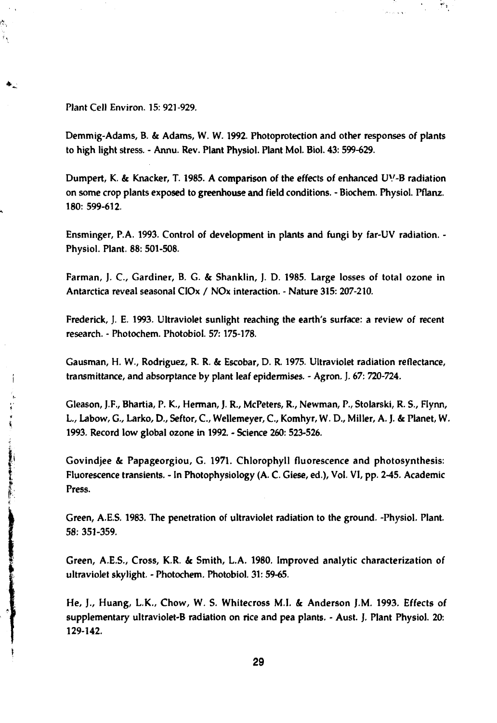**Plant Cell Environ. 15: 921-929.**

Ń,

**Demmig-Adams, B. & Adams, W. W. 1992. Photoprotection and other responses of plants to high light stress. - Annu. Rev. Plant Physiol. Plant Mol. Biol. 43: 599-629.**

 $\mathbb{P}^3$  .

**Dumpert, K. & Knacker, T. 1985. A comparison of the effects of enhanced UV-B radiation on some crop plants exposed to greenhouse and field conditions. - Biochem. Physiol. Pflanz. 180: 599-612.**

**Ensminger, P.A. 1993. Control of development in plants and fungi by far-UV radiation. - Physiol. Plant. 88: 501-508.**

**Farman, J. C, Gardiner, B. G. & Shanklin, J. D. 1985. Large losses of total ozone in Antarctica reveal seasonal CIOx / NOx interaction. - Nature 315: 207-210.**

**Frederick, J. E. 1993. Ultraviolet sunlight reaching the earth's surface: a review of recent research. - Photochem. Photobiol. 57:175-178.**

**Gausman, H. W., Rodriguez, R. R. & Escobar, D. R. 1975. Ultraviolet radiation reflectance, transmittance, and absorptance by plant leaf epidermises. - Agron. J. 67: 720-724.**

**Gleason, J.F., Bhartia, P. K., Herman, J. R., McPeters, R., Newman, P., Stolarski, R. S., Flynn, L, Labow, G., Larko, D., Seftor, C, Wellemeyer, C, Komhyr, W. D., Miller, A. J. & Planet, W. 1993. Record low global ozone in 1992. - Science 260: 523-526.**

**Govindjee & Papageorgiou, G. 1971. Chlorophyll fluorescence and photosynthesis: Fluorescence transients. - In Photophysiology (A. C. Giese, ed.), Vol. VI, pp. 2-45. Academic Press.**

**Green, A.E.S. 1983. The penetration of ultraviolet radiation to the ground. -Physiol. Plant. 58: 351-359.**

**Green, A.E.S., Cross, K.R. & Smith, L.A. 1980. Improved analytic characterization of ultraviolet skylight. - Photochem. Photobiol. 31: 59-65.**

**He, J., Huang, L.K., Chow, W. S. Whitecross M.I. & Anderson J.M. 1993. Effects of supplementary ultraviolet-B radiation on rice and pea plants. - Aust. J. Plant Physiol. 20: 129-142.**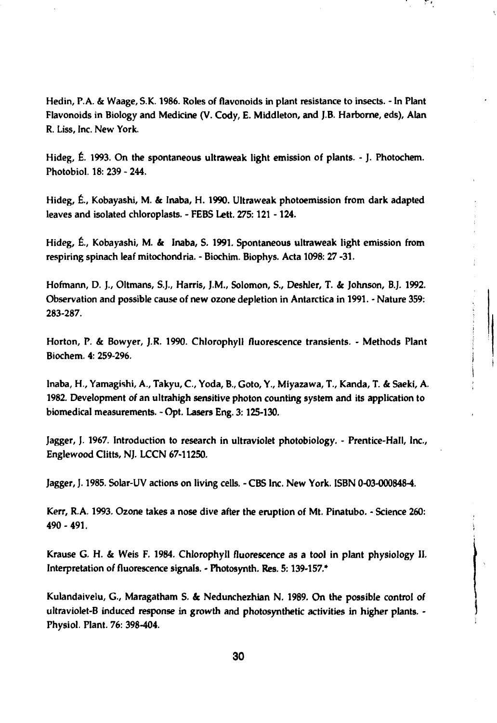**Hedin, P.A. & Waage, SK. 1986. Roles of flavonoids in plant resistance to insects. - In Plant Flavonoids in Biology and Medicine (V. Cody, E. Middleton, and J.B. Harborne, eds), Alan R. Liss, Inc. New York.**

**Hideg, É. 1993. On the spontaneous ultraweak light emission of plants. - J. Photochem. Photobiol. 18: 239 - 244.**

**Hideg, É., Kobayashi, M. & Inaba, H. 1990. Ultraweak photoemission from dark adapted leaves and isolated chloroplasts. - FEBS Lett. 275:121-124.**

**Hideg, É., Kobayashi, M. & Inaba, S. 1991. Spontaneous ultraweak light emission from respiring spinach leaf mitochondria. - Biochim. Biophys. Acta 1098: 27 -31.**

**Hofmann, D. J., Oltmans, S.J., Harris, J.M., Solomon, S., Deshler, T. & Johnson, B.J. 1992. Observation and possible cause of new ozone depletion in Antarctica in 1991. - Nature 359: 283-287. ,**

**Horton, P. & Bowyer, J.R. 1990. Chlorophyll fluorescence transients. - Methods Plant j Biochem. 4: 259-296. j**

**Inaba, H., Yamagishi, A., Takyu, C, Yoda, B., Goto, Y., Miyazawa, T., Kända, T. & Saeki, A. .; 1982. Development of an ultrahigh sensitive photon counting system and its application to biomedical measurements. - Opt. Lasers Eng. 3:125-130.**

**i**

**Jagger, J. 1967. Introduction to research in ultraviolet photobiology. - Prentice-Hall, Inc., Englewood Clitts, NJ. LCCN 67-11250.**

**Jagger, J. 1985. Solar-UV actions on living cells. - CBS Inc. New York. ISBN 0-03-0008484.**

**Kerr, R.A. 1993. Ozone takes a nose dive after the eruption of Mt. Pinatubo. - Science 260: 490-491.** *\*

**Krause G. H. & Weis F. 1984. Chlorophyll fluorescence as a tool in plant physiology II. Interpretation of fluorescence signals. - Photosynth. Res. 5:139-157.\***

**Kulandaivelu, G., Maragatham S. & Nedunchezhian N. 1989. On the possible control of ultraviolet-B induced response in growth and photosynthetic activities in higher plants. - Physiol. Plant. 76: 398-404.**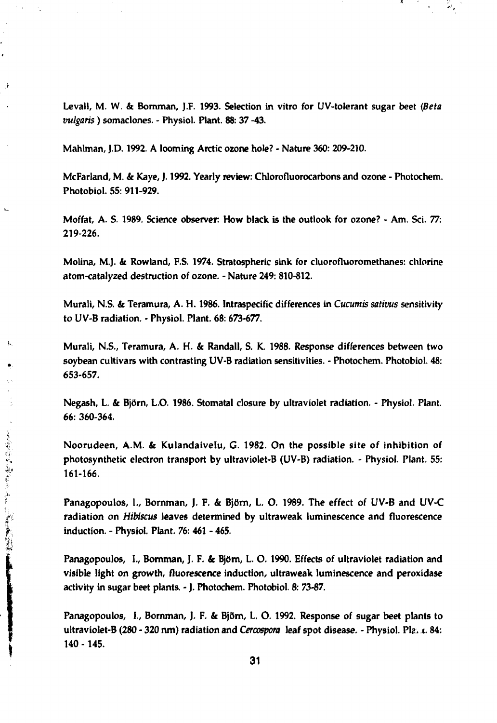**Levall, M. W. & Bornman, J.F. 1993. Selection in vitro for UV-tolerant sugar beet** *(Beta vulgaris)* **somaclones. - Physiol. Plant. 88: 37 -43.**

 $\mathcal{P}_{\mathcal{P}}$ 

**Mahlman, J.D. 1992. A looming Arctic ozone hole? - Nature 360: 209-210.**

्री

**McFarland, M.** *k* **Kaye, J. 1992. Yearly review: Chlorofluorocarbons and ozone - Photochem. Photobiol. 55: 911-929.**

**Moffat, A. S. 1989. Science observer How black is the outlook for ozone? - Am. Sci. 77: 219-226.**

**Molina, M.J. & Rowland, F.S. 1974. Stratospheric sink for cluorofluoromethanes: chlorine atom-catalyzed destruction of ozone. - Nature 249: 810-812.**

**Murali, N.S. & Teramura, A. H. 1986. Intraspedfic differences in** *Cucumis sativus* **sensitivity to UV-B radiation. - Physiol. Plant. 68: 673-677.**

**Murali, N.S., Teramura, A. H.** *k* **Randall, S. K. 1988. Response differences between two soybean cultivars with contrasting UV-B radiation sensitivities. - Photochem. Photobiol. 48: 653-657.**

**Negash, L. & Björn, L.O. 1986. Stomatal closure by ultraviolet radiation. - Physiol. Plant. 66: 360-364.**

**Noorudeen, A.M.** *k* **Kulandaivelu, G. 1982. On the possible site of inhibition of photosynthetic electron transport by ultraviolet-B (UV-B) radiation. - Physiol. Plant. 55: 161-166.**

**Panagopoulos, I., Bornman, J. F.** *k* **Björn, L. O. 1989. The effect of UV-B and UV-C radiation on** *Hibiscus* **leaves determined by ultraweak luminescence and fluorescence induction. - Physiol. Plant. 76: 461 - 465.**

**Panagopoulos, I., Bornman, J. F.** *k* **Björn, L. O. 1990. Effects of ultraviolet radiation and visible light on growth, fluorescence induction, ultraweak luminescence and peroxidase activity in sugar beet plants. - J. Photochem. Photobiol. 8: 73-87.**

**Panagopoulos, I., Bornman, J. F.** *k* **Björn, L. O. 1992. Response of sugar beet plants to ultraviolet-B (280 - 320 ran) radiation and** *Cercospora* **leaf spot disease. - Physiol. Pla. i. 84: 140 -145.**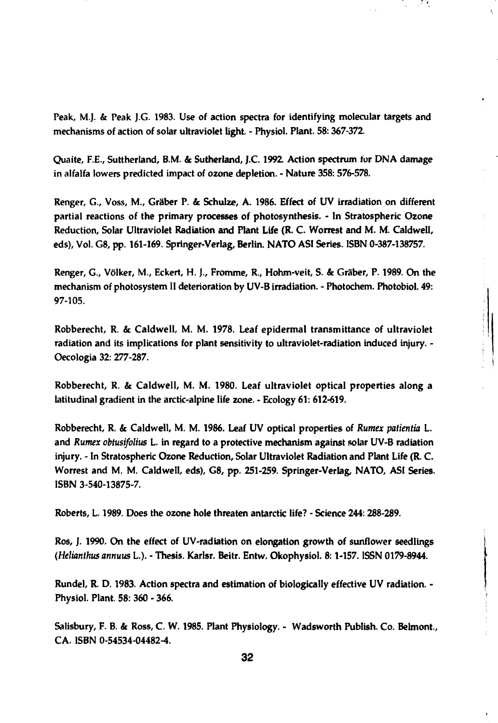**Peak, M.J. & Peak J.G. 1983. Use of action spectra for identifying molecular targets and mechanisms of action of solar ultraviolet light. - Physiol. Plant. 58:367-372.**

**Quaite, F.E., Suttherland, B.M. & Sutherland, J.C. 1992. Action spectrum tor DNA damage in alfalfa lowers predicted impact of ozone depletion. - Nature 358: 576-578.**

**Renger, G., Voss, M., Gräber P. & Schulze, A. 1986. Effect of UV irradiation on different partial reactions of the primary processes of photosynthesis. - In Stratospheric Ozone Reduction, Solar Ultraviolet Radiation and Plant Life (R. C. Worrest and M. M. Caldwell, eds). Vol. G8, pp. 161-169. Springer-Verlag, Berlin. NATO ASI Series. ISBN 0-387-138757.**

**Renger, G., Völker, M., Eckert, H.** *].,* **Fromme, R., Hohm-veit, S. & Gräber, P. 1989. On the mechanism of photosystem II deterioration by UV-B irradiation. - Photochem. Photobiol. 49: 97-105.**

**Robberecht, R. & Caldwell, M. M. 1978. Leaf epidermal transmittance of ultraviolet radiation and its implications for plant sensitivity to ultraviolet-radiation induced injury. - Oecologia 32: 277-287.**

**Robberecht, R. & Caldwell, M. M. 1980. Leaf ultraviolet optical properties along a latitudinal gradient in the arctic-alpine life zone. - Ecology 61: 612-619.**

**Robberecht, R. & Caldwell, M. M. 1986. Leaf UV optical properties of** *Rumex patientia* **L. and** *Rumex obtusifolius* **L. in regard to a protective mechanism against solar UV-B radiation injury. - In Stratospheric Ozone Reduction, Solar Ultraviolet Radiation and Plant Life (R. C. Worrest and M. M. Caldwell, eds), G8, pp. 251-259. Springer-Verlag, NATO, ASI Series. ISBN 3-540-13875-7.**

**Roberts, L. 1989. Does the ozone hole threaten antarctic life? - Science 244:288-289.**

**Ros, J. 1990. On the effect of UV-radiation on elongation growth of sunflower seedlings** *(Helknthus annuus* **L). - Thesis. Karlsr. Beitr. Entw. Okophysiol. 8:1-157. ISSN 0179-8944.**

**Rundel, R. D. 1983. Action spectra and estimation of biologically effective UV radiation. - Physiol. Plant. 58: 360 - 366.**

**Salisbury, F. B. & Ross, C. W. 1985. Plant Physiology. - Wadsworth Publish. Co. Belmont, CA. ISBN 0-54534-04482-4.**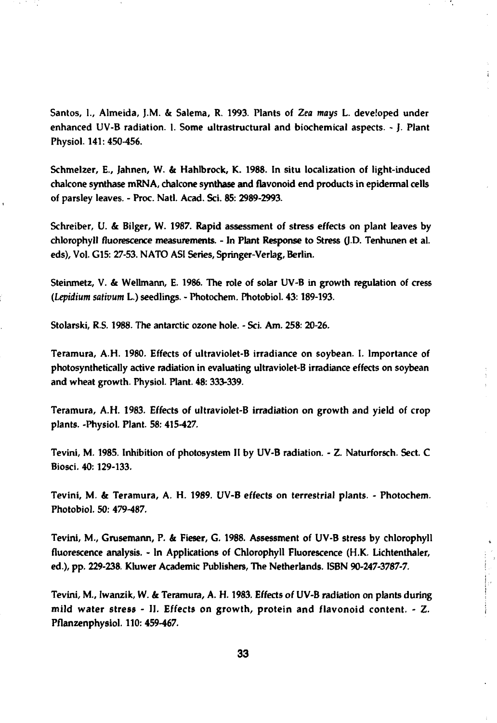**Santos, I., Almeida, J.M. & Salema, R. 1993. Plants of** *Zea mays* **L. developed under enhanced UV-B radiation. I. Some ultrastructural and biochemical aspects. - J. Plant Physiol. 141: 450-456.**

÷

 $\label{eq:2.1} \begin{array}{ll} \mathcal{L}_{\text{max}}(\mathcal{A})=\mathcal{L}_{\text{max}}(\mathcal{A})=\mathcal{L}_{\text{max}}(\mathcal{A})=\mathcal{L}_{\text{max}}(\mathcal{A})=\mathcal{L}_{\text{max}}(\mathcal{A})=\mathcal{L}_{\text{max}}(\mathcal{A})=\mathcal{L}_{\text{max}}(\mathcal{A})=\mathcal{L}_{\text{max}}(\mathcal{A})=\mathcal{L}_{\text{max}}(\mathcal{A})=\mathcal{L}_{\text{max}}(\mathcal{A})=\mathcal{L}_{\text{max}}(\mathcal{A})=\mathcal{L}_{\text{max}}(\mathcal{A})$ 

**Schmelzer, E., Jahnen, W. & Hahlbrock, K. 1988. In situ localization of light-induced chalcone synthase mRNA, chalcone synthase and flavonoid end products in epidermal cells of parsley leaves. - Proc. Natl. Acad. Sci. 85: 2989-2993.**

**Schreiber, U. & Bilger, W. 1987. Rapid assessment of stress effects on plant leaves by chlorophyll fluorescence measurements. - In Plant Response to Stress** *(}.D.* **Tenhunen et al. eds), Vol. G15: 27-53. NATO ASI Series, Springer-Verlag, Berlin.**

**Steinmetz, V. & Wellmann, E. 1986. The role of solar UV-B in growth regulation of cress** *(Lepidium sativum* **L.) seedlings. - Photochem. Photobiol. 43:189-193.**

**Stolarski, R.S. 1988. The antarctic ozone hole. - Sci. Am. 258: 20-26.**

**Teramura, A.H. 1980. Effects of ultraviolet-B irradiance on soybean. I. Importance of photosynthetically active radiation in evaluating ultraviolet-B irradiance effects on soybean and wheat growth. Physiol. Plant. 48: 333-339.**

**Teramura, A.H. 1983. Effects of ultraviolet-B irradiation on growth and yield of crop plants. -Physiol. Plant. 58: 415-427.**

**Tevini, M. 1985. Inhibition of photosystem II by UV-B radiation. - Z. Naturforsch. Sect. C Biosci. 40:129-133.**

**Tevini, M. & Teramura, A. H. 1989. UV-B effects on terrestrial plants. - Photochem. Photobiol. 50: 479-487.**

**Tevini, M., Grusemann, P. & Fieser, G. 1988. Assessment of UV-B stress by chlorophyll fluorescence analysis. - In Applications of Chlorophyll Fluorescence (H.K. Lichtenthaler, ed.), pp. 229-238. Kluwer Academic Publishers, The Netherlands. ISBN 90-247-3787-7.**

**Tevini, M, Iwanzik, W. & Teramura, A. H. 1983. Effects** *of* **UV-B radiation on plants during mild water stress - II. Effects on growth, protein and flavonoid content. - Z. Pflanzenphysiol. 110: 459-467.**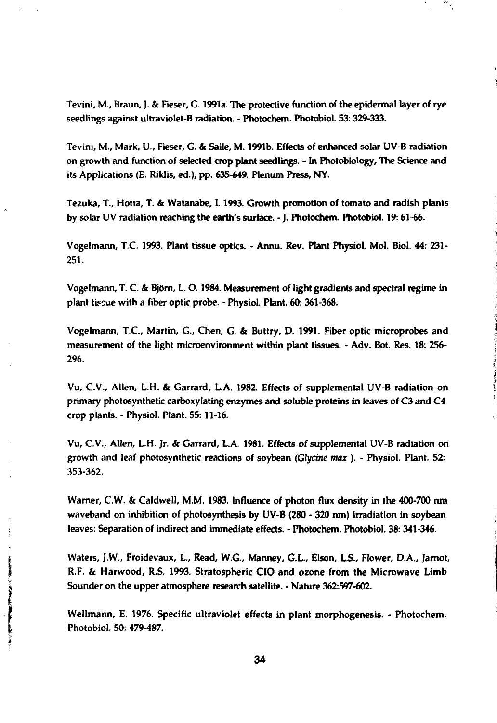**Tevini, M., Braun, J. & Fieser, G. 1991a. The protective function of the epidermal layer of rye seedlings against ultraviolet-B radiation. - Photochem. Photobiol. 53:329-333.**

**Tevini, M., Mark, U., Fieser, G. & Saile, M. 1991b. Effects of enhanced solar UV-B radiation on growth and function of selected crop plant seedlings. - In Photobiology, The Science and** its Applications (E. Riklis, ed.), pp. 635-649. Plenum Press, NY.

**Tezuka, T., Hotta, T. & Watanabe, 1.1993. Growth promotion of tomato and radish plants by solar UV radiation reaching the earth's surface. - J. Photochem. Photobiol. 19:61-66.**

**Vogelmann, T.C. 1993. Plant tissue optics. - Annu. Rev. Plant Physiol. Mol. Biol. 44: 231- 251.**

**Vogelmann, T. C. & Björn, L. 0.1984. Measurement of light gradients and spectral regime in plant tissue with a fiber optic probe. - Physiol. Plant. 60: 361-368.**

**Vogelmann, T.C., Martin, G., Chen, G. & Buttry, D. 1991. Fiber optic microprobes and measurement of the light microenvironment within plant tissues. - Adv. Bot. Res. 18: 256- 296.**

**Vu, C.V., Allen, L.H. & Garrard, L.A. 1982. Effects of supplemental UV-B radiation on primary photosynthetic carboxylating enzymes and soluble proteins in leaves of C3 and C4 crop plants. - Physiol. Plant. 55:11-16.**

**Vu, C.V., Allen, L.H. Jr.** *&* **Garrard, LA. 1981. Effects of supplemental UV-B radiation on growth and leaf photosynthetic reactions of soybean** *(Glycine max ) . -* **Physiol. Plant. 52: 353-362.**

**Warner, C.W. & Caldwell, M.M. 1983. Influence of photon flux density in the 400-700 nm waveband on inhibition of photosynthesis by UV-B (280 - 320 nm) irradiation in soybean leaves: Separation of indirect and immediate effects. - Photochem. Photobiol. 38: 341-346.**

**Waters, J.W., Froidevaux, L, Read, W.G., Manney, G.L., Elson, L.S., Flower, D.A., Jamot, R.F. & Harwood, R.S. 1993. Stratospheric CIO and ozone from the Microwave Limb Sounder on the upper atmosphere research satellite. - Nature 362:597-602.**

**Wellmann, E. 1976. Specific ultraviolet effects in plant morphogenesis. - Photochem. Photobiol. 50: 479-487.**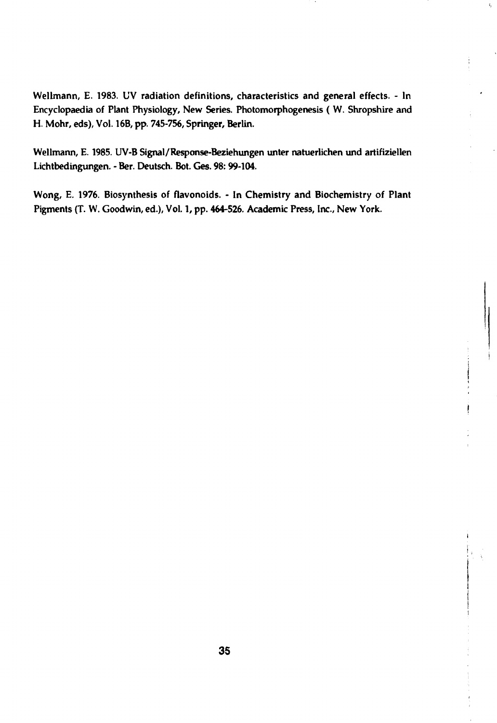**Wellmann, E. 1983. UV radiation definitions, characteristics and general effects. - In Encyclopaedia of Plant Physiology, New Series. Photomorphogenesis ( W. Shropshire and H. Mohr, eds), Vol. 16B, pp. 745-756, Springer, Berlin.**

**Wellmann, E. 1985. UV-B Signal/Response-Beziehungen unter natuerlichen und artifiziellen Lichtbedingungen. - Ber. Deutsch. Bot. Ges. 98:99-104.**

**Wong, E. 1976. Biosynthesis of flavonoids. - In Chemistry and Biochemistry of Plant Pigments (T. W. Goodwin, ed.), Vol. 1, pp. 464-526. Academic Press, Inc., New York.**

**i**

 $\mathbf{s}_j$